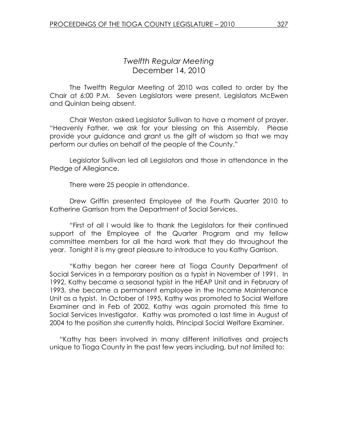# Twelfth Regular Meeting December 14, 2010

 The Twelfth Regular Meeting of 2010 was called to order by the Chair at 6:00 P.M. Seven Legislators were present, Legislators McEwen and Quinlan being absent.

 Chair Weston asked Legislator Sullivan to have a moment of prayer. "Heavenly Father, we ask for your blessing on this Assembly. Please provide your guidance and grant us the gift of wisdom so that we may perform our duties on behalf of the people of the County."

 Legislator Sullivan led all Legislators and those in attendance in the Pledge of Allegiance.

There were 25 people in attendance.

Drew Griffin presented Employee of the Fourth Quarter 2010 to Katherine Garrison from the Department of Social Services.

 "First of all I would like to thank the Legislators for their continued support of the Employee of the Quarter Program and my fellow committee members for all the hard work that they do throughout the year. Tonight it is my great pleasure to introduce to you Kathy Garrison.

"Kathy began her career here at Tioga County Department of Social Services in a temporary position as a typist in November of 1991. In 1992, Kathy became a seasonal typist in the HEAP Unit and in February of 1993, she became a permanent employee in the Income Maintenance Unit as a typist. In October of 1995, Kathy was promoted to Social Welfare Examiner and in Feb of 2002, Kathy was again promoted this time to Social Services Investigator. Kathy was promoted a last time in August of 2004 to the position she currently holds, Principal Social Welfare Examiner.

"Kathy has been involved in many different initiatives and projects unique to Tioga County in the past few years including, but not limited to: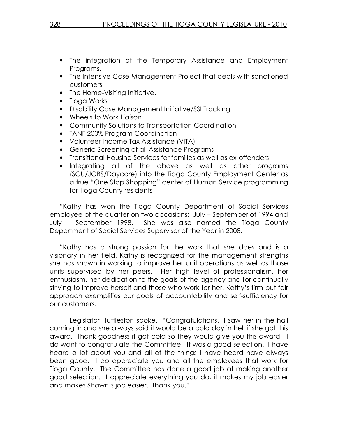- The integration of the Temporary Assistance and Employment Programs.
- The Intensive Case Management Project that deals with sanctioned customers
- The Home-Visiting Initiative.
- Tioga Works
- Disability Case Management Initiative/SSI Tracking
- Wheels to Work Liaison
- Community Solutions to Transportation Coordination
- TANF 200% Program Coordination
- Volunteer Income Tax Assistance (VITA)
- Generic Screening of all Assistance Programs
- Transitional Housing Services for families as well as ex-offenders
- Integrating all of the above as well as other programs (SCU/JOBS/Daycare) into the Tioga County Employment Center as a true "One Stop Shopping" center of Human Service programming for Tioga County residents

"Kathy has won the Tioga County Department of Social Services employee of the quarter on two occasions: July – September of 1994 and July – September 1998. She was also named the Tioga County Department of Social Services Supervisor of the Year in 2008.

"Kathy has a strong passion for the work that she does and is a visionary in her field. Kathy is recognized for the management strengths she has shown in working to improve her unit operations as well as those units supervised by her peers. Her high level of professionalism, her enthusiasm, her dedication to the goals of the agency and for continually striving to improve herself and those who work for her, Kathy's firm but fair approach exemplifies our goals of accountability and self-sufficiency for our customers.

 Legislator Huttleston spoke. "Congratulations. I saw her in the hall coming in and she always said it would be a cold day in hell if she got this award. Thank goodness it got cold so they would give you this award. I do want to congratulate the Committee. It was a good selection. I have heard a lot about you and all of the things I have heard have always been good. I do appreciate you and all the employees that work for Tioga County. The Committee has done a good job at making another good selection. I appreciate everything you do, it makes my job easier and makes Shawn's job easier. Thank you."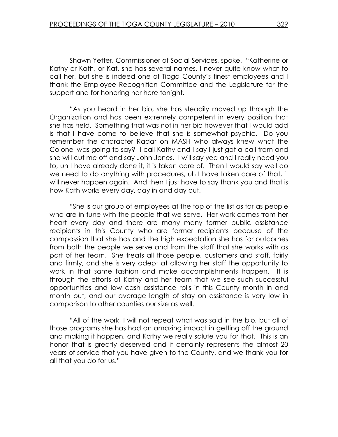Shawn Yetter, Commissioner of Social Services, spoke. "Katherine or Kathy or Kath, or Kat, she has several names, I never quite know what to call her, but she is indeed one of Tioga County's finest employees and I thank the Employee Recognition Committee and the Legislature for the support and for honoring her here tonight.

 "As you heard in her bio, she has steadily moved up through the Organization and has been extremely competent in every position that she has held. Something that was not in her bio however that I would add is that I have come to believe that she is somewhat psychic. Do you remember the character Radar on MASH who always knew what the Colonel was going to say? I call Kathy and I say I just got a call from and she will cut me off and say John Jones. I will say yea and I really need you to, uh I have already done it, it is taken care of. Then I would say well do we need to do anything with procedures, uh I have taken care of that, it will never happen again. And then I just have to say thank you and that is how Kath works every day, day in and day out.

 "She is our group of employees at the top of the list as far as people who are in tune with the people that we serve. Her work comes from her heart every day and there are many many former public assistance recipients in this County who are former recipients because of the compassion that she has and the high expectation she has for outcomes from both the people we serve and from the staff that she works with as part of her team. She treats all those people, customers and staff, fairly and firmly, and she is very adept at allowing her staff the opportunity to work in that same fashion and make accomplishments happen. It is through the efforts of Kathy and her team that we see such successful opportunities and low cash assistance rolls in this County month in and month out, and our average length of stay on assistance is very low in comparison to other counties our size as well.

 "All of the work, I will not repeat what was said in the bio, but all of those programs she has had an amazing impact in getting off the ground and making it happen, and Kathy we really salute you for that. This is an honor that is greatly deserved and it certainly represents the almost 20 years of service that you have given to the County, and we thank you for all that you do for us."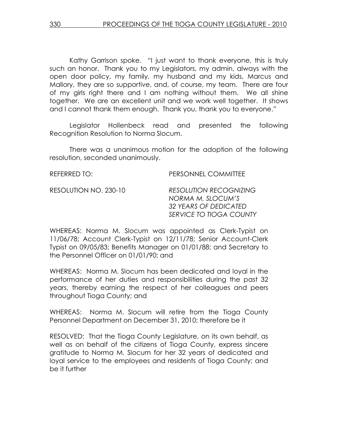Kathy Garrison spoke. "I just want to thank everyone, this is truly such an honor. Thank you to my Legislators, my admin, always with the open door policy, my family, my husband and my kids, Marcus and Mallory, they are so supportive, and, of course, my team. There are four of my girls right there and I am nothing without them. We all shine together. We are an excellent unit and we work well together. It shows and I cannot thank them enough. Thank you, thank you to everyone."

 Legislator Hollenbeck read and presented the following Recognition Resolution to Norma Slocum.

 There was a unanimous motion for the adoption of the following resolution, seconded unanimously.

| REFERRED TO:          | PERSONNEL COMMITTEE                                                                                    |
|-----------------------|--------------------------------------------------------------------------------------------------------|
| RESOLUTION NO. 230-10 | <b>RESOLUTION RECOGNIZING</b><br>NORMA M. SLOCUM'S<br>32 YEARS OF DEDICATED<br>SERVICE TO TIOGA COUNTY |

WHEREAS: Norma M. Slocum was appointed as Clerk-Typist on 11/06/78; Account Clerk-Typist on 12/11/78; Senior Account-Clerk Typist on 09/05/83; Benefits Manager on 01/01/88; and Secretary to the Personnel Officer on 01/01/90; and

WHEREAS: Norma M. Slocum has been dedicated and loyal in the performance of her duties and responsibilities during the past 32 years, thereby earning the respect of her colleagues and peers throughout Tioga County; and

WHEREAS: Norma M. Slocum will retire from the Tioga County Personnel Department on December 31, 2010; therefore be it

RESOLVED: That the Tioga County Legislature, on its own behalf, as well as on behalf of the citizens of Tioga County, express sincere gratitude to Norma M. Slocum for her 32 years of dedicated and loyal service to the employees and residents of Tioga County; and be it further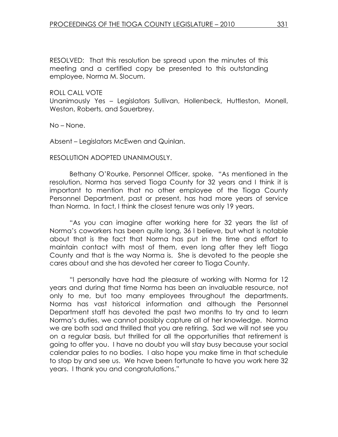RESOLVED: That this resolution be spread upon the minutes of this meeting and a certified copy be presented to this outstanding employee, Norma M. Slocum.

ROLL CALL VOTE

Unanimously Yes – Legislators Sullivan, Hollenbeck, Huttleston, Monell, Weston, Roberts, and Sauerbrey.

No – None.

Absent – Legislators McEwen and Quinlan.

RESOLUTION ADOPTED UNANIMOUSLY.

 Bethany O'Rourke, Personnel Officer, spoke. "As mentioned in the resolution, Norma has served Tioga County for 32 years and I think it is important to mention that no other employee of the Tioga County Personnel Department, past or present, has had more years of service than Norma. In fact, I think the closest tenure was only 19 years.

 "As you can imagine after working here for 32 years the list of Norma's coworkers has been quite long, 36 I believe, but what is notable about that is the fact that Norma has put in the time and effort to maintain contact with most of them, even long after they left Tioga County and that is the way Norma is. She is devoted to the people she cares about and she has devoted her career to Tioga County.

 "I personally have had the pleasure of working with Norma for 12 years and during that time Norma has been an invaluable resource, not only to me, but too many employees throughout the departments. Norma has vast historical information and although the Personnel Department staff has devoted the past two months to try and to learn Norma's duties, we cannot possibly capture all of her knowledge. Norma we are both sad and thrilled that you are retiring. Sad we will not see you on a regular basis, but thrilled for all the opportunities that retirement is going to offer you. I have no doubt you will stay busy because your social calendar pales to no bodies. I also hope you make time in that schedule to stop by and see us. We have been fortunate to have you work here 32 years. I thank you and congratulations."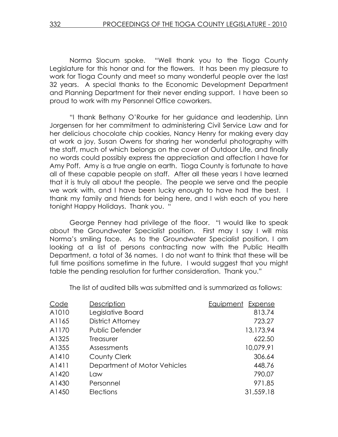Norma Slocum spoke. "Well thank you to the Tioga County Legislature for this honor and for the flowers. It has been my pleasure to work for Tioga County and meet so many wonderful people over the last 32 years. A special thanks to the Economic Development Department and Planning Department for their never ending support. I have been so proud to work with my Personnel Office coworkers.

 "I thank Bethany O'Rourke for her guidance and leadership, Linn Jorgensen for her commitment to administering Civil Service Law and for her delicious chocolate chip cookies, Nancy Henry for making every day at work a joy, Susan Owens for sharing her wonderful photography with the staff, much of which belongs on the cover of Outdoor Life, and finally no words could possibly express the appreciation and affection I have for Amy Poff. Amy is a true angle on earth. Tioga County is fortunate to have all of these capable people on staff. After all these years I have learned that it is truly all about the people. The people we serve and the people we work with, and I have been lucky enough to have had the best. I thank my family and friends for being here, and I wish each of you here tonight Happy Holidays. Thank you. "

 George Penney had privilege of the floor. "I would like to speak about the Groundwater Specialist position. First may I say I will miss Norma's smiling face. As to the Groundwater Specialist position, I am looking at a list of persons contracting now with the Public Health Department, a total of 36 names. I do not want to think that these will be full time positions sometime in the future. I would suggest that you might table the pending resolution for further consideration. Thank you."

The list of audited bills was submitted and is summarized as follows:

| Equipment Expense |
|-------------------|
| 813.74            |
| 723.27            |
| 13,173.94         |
| 622.50            |
| 10,079.91         |
| 306.64            |
| 448.76            |
| 790.07            |
| 971.85            |
| 31,559.18         |
|                   |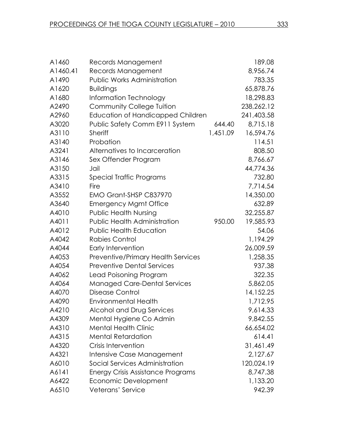| A1460    | Records Management                        |          | 189.08     |
|----------|-------------------------------------------|----------|------------|
| A1460.41 | Records Management                        |          | 8,956.74   |
| A1490    | Public Works Administration               |          | 783.35     |
| A1620    | <b>Buildings</b>                          |          | 65,878.76  |
| A1680    | Information Technology                    |          | 18,298.83  |
| A2490    | <b>Community College Tuition</b>          |          | 238,262.12 |
| A2960    | Education of Handicapped Children         |          | 241,403.58 |
| A3020    | Public Safety Comm E911 System            | 644.40   | 8,715.18   |
| A3110    | <b>Sheriff</b>                            | 1,451.09 | 16,594.76  |
| A3140    | Probation                                 |          | 114.51     |
| A3241    | Alternatives to Incarceration             |          | 808.50     |
| A3146    | Sex Offender Program                      |          | 8,766.67   |
| A3150    | Jail                                      |          | 44,774.36  |
| A3315    | Special Traffic Programs                  |          | 732.80     |
| A3410    | Fire                                      |          | 7,714.54   |
| A3552    | EMO Grant-SHSP C837970                    |          | 14,350.00  |
| A3640    | <b>Emergency Mgmt Office</b>              |          | 632.89     |
| A4010    | <b>Public Health Nursing</b>              |          | 32,255.87  |
| A4011    | <b>Public Health Administration</b>       | 950.00   | 19,585.93  |
| A4012    | <b>Public Health Education</b>            |          | 54.06      |
| A4042    | <b>Rabies Control</b>                     |          | 1,194.29   |
| A4044    | Early Intervention                        |          | 26,009.59  |
| A4053    | <b>Preventive/Primary Health Services</b> |          | 1,258.35   |
| A4054    | <b>Preventive Dental Services</b>         |          | 937.38     |
| A4062    | Lead Poisoning Program                    |          | 322.35     |
| A4064    | <b>Managed Care-Dental Services</b>       |          | 5,862.05   |
| A4070    | Disease Control                           |          | 14,152.25  |
| A4090    | <b>Environmental Health</b>               |          | 1,712.95   |
| A4210    | Alcohol and Drug Services                 |          | 9,614.33   |
| A4309    | Mental Hygiene Co Admin                   |          | 9,842.55   |
| A4310    | <b>Mental Health Clinic</b>               |          | 66,654.02  |
| A4315    | <b>Mental Retardation</b>                 |          | 614.41     |
| A4320    | Crisis Intervention                       |          | 31,461.49  |
| A4321    | Intensive Case Management                 |          | 2,127.67   |
| A6010    | Social Services Administration            |          | 120,024.19 |
| A6141    | <b>Energy Crisis Assistance Programs</b>  |          | 8,747.38   |
| A6422    | Economic Development                      |          | 1,133.20   |
| A6510    | Veterans' Service                         |          | 942.39     |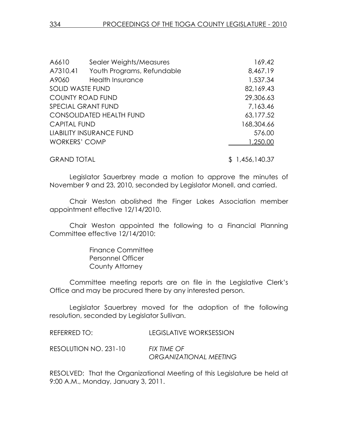| A6610                   | Sealer Weights/Measures         | 169.42     |
|-------------------------|---------------------------------|------------|
| A7310.41                | Youth Programs, Refundable      | 8,467.19   |
| A9060                   | <b>Health Insurance</b>         | 1,537.34   |
| <b>SOLID WASTE FUND</b> |                                 | 82,169.43  |
| <b>COUNTY ROAD FUND</b> |                                 | 29,306.63  |
| SPECIAL GRANT FUND      |                                 | 7,163.46   |
|                         | <b>CONSOLIDATED HEALTH FUND</b> | 63,177.52  |
| <b>CAPITAL FUND</b>     |                                 | 168,304.66 |
|                         | <b>LIABILITY INSURANCE FUND</b> | 576.00     |
| <b>WORKERS' COMP</b>    |                                 | 1,250.00   |

GRAND TOTAL \$ 1,456,140.37

Legislator Sauerbrey made a motion to approve the minutes of November 9 and 23, 2010, seconded by Legislator Monell, and carried.

 Chair Weston abolished the Finger Lakes Association member appointment effective 12/14/2010.

 Chair Weston appointed the following to a Financial Planning Committee effective 12/14/2010:

> Finance Committee Personnel Officer County Attorney

Committee meeting reports are on file in the Legislative Clerk's Office and may be procured there by any interested person.

 Legislator Sauerbrey moved for the adoption of the following resolution, seconded by Legislator Sullivan.

| REFERRED TO:          | <b>LEGISLATIVE WORKSESSION</b>        |
|-----------------------|---------------------------------------|
| RESOLUTION NO. 231-10 | FIX TIME OF<br>ORGANIZATIONAL MEETING |

RESOLVED: That the Organizational Meeting of this Legislature be held at 9:00 A.M., Monday, January 3, 2011.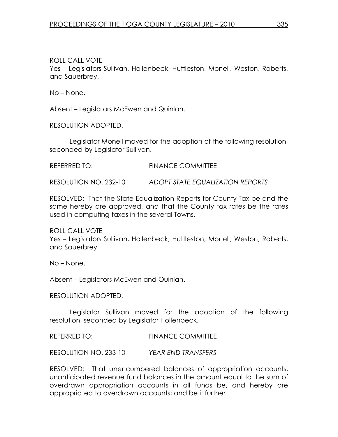ROLL CALL VOTE Yes – Legislators Sullivan, Hollenbeck, Huttleston, Monell, Weston, Roberts, and Sauerbrey.

No – None.

Absent – Legislators McEwen and Quinlan.

RESOLUTION ADOPTED.

 Legislator Monell moved for the adoption of the following resolution, seconded by Legislator Sullivan.

| REFERRED TO: | <b>FINANCE COMMITTEE</b> |
|--------------|--------------------------|
|              |                          |

RESOLUTION NO. 232-10 ADOPT STATE EQUALIZATION REPORTS

RESOLVED: That the State Equalization Reports for County Tax be and the same hereby are approved, and that the County tax rates be the rates used in computing taxes in the several Towns.

ROLL CALL VOTE Yes – Legislators Sullivan, Hollenbeck, Huttleston, Monell, Weston, Roberts, and Sauerbrey.

No – None.

Absent – Legislators McEwen and Quinlan.

RESOLUTION ADOPTED.

 Legislator Sullivan moved for the adoption of the following resolution, seconded by Legislator Hollenbeck.

REFERRED TO: FINANCE COMMITTEE

RESOLUTION NO. 233-10 YEAR END TRANSFERS

RESOLVED: That unencumbered balances of appropriation accounts, unanticipated revenue fund balances in the amount equal to the sum of overdrawn appropriation accounts in all funds be, and hereby are appropriated to overdrawn accounts; and be it further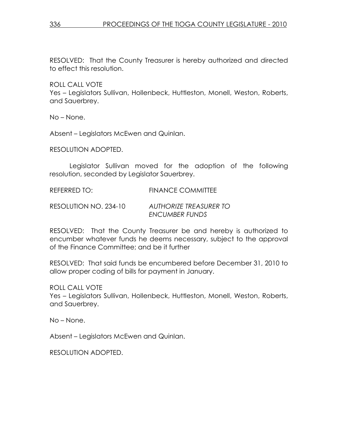RESOLVED: That the County Treasurer is hereby authorized and directed to effect this resolution.

ROLL CALL VOTE

Yes – Legislators Sullivan, Hollenbeck, Huttleston, Monell, Weston, Roberts, and Sauerbrey.

No – None.

Absent – Legislators McEwen and Quinlan.

RESOLUTION ADOPTED.

 Legislator Sullivan moved for the adoption of the following resolution, seconded by Legislator Sauerbrey.

REFERRED TO: FINANCE COMMITTEE

RESOLUTION NO. 234-10 AUTHORIZE TREASURER TO ENCUMBER FUNDS

RESOLVED: That the County Treasurer be and hereby is authorized to encumber whatever funds he deems necessary, subject to the approval of the Finance Committee; and be it further

RESOLVED: That said funds be encumbered before December 31, 2010 to allow proper coding of bills for payment in January.

ROLL CALL VOTE

Yes – Legislators Sullivan, Hollenbeck, Huttleston, Monell, Weston, Roberts, and Sauerbrey.

No – None.

Absent – Legislators McEwen and Quinlan.

RESOLUTION ADOPTED.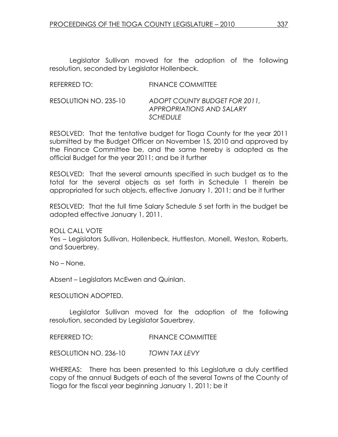Legislator Sullivan moved for the adoption of the following resolution, seconded by Legislator Hollenbeck.

| REFERRED TO:          | <b>FINANCE COMMITTEE</b>                                                      |
|-----------------------|-------------------------------------------------------------------------------|
| RESOLUTION NO. 235-10 | ADOPT COUNTY BUDGET FOR 2011,<br>APPROPRIATIONS AND SALARY<br><b>SCHEDULE</b> |

RESOLVED: That the tentative budget for Tioga County for the year 2011 submitted by the Budget Officer on November 15, 2010 and approved by the Finance Committee be, and the same hereby is adopted as the official Budget for the year 2011; and be it further

RESOLVED: That the several amounts specified in such budget as to the total for the several objects as set forth in Schedule 1 therein be appropriated for such objects, effective January 1, 2011; and be it further

RESOLVED: That the full time Salary Schedule 5 set forth in the budget be adopted effective January 1, 2011.

ROLL CALL VOTE Yes – Legislators Sullivan, Hollenbeck, Huttleston, Monell, Weston, Roberts, and Sauerbrey.

No – None.

Absent – Legislators McEwen and Quinlan.

RESOLUTION ADOPTED.

 Legislator Sullivan moved for the adoption of the following resolution, seconded by Legislator Sauerbrey.

REFERRED TO: FINANCE COMMITTEE

RESOLUTION NO. 236-10 TOWN TAX LEVY

WHEREAS: There has been presented to this Legislature a duly certified copy of the annual Budgets of each of the several Towns of the County of Tioga for the fiscal year beginning January 1, 2011; be it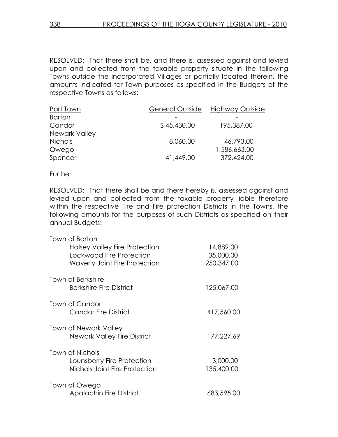RESOLVED: That there shall be, and there is, assessed against and levied upon and collected from the taxable property situate in the following Towns outside the incorporated Villages or partially located therein, the amounts indicated for Town purposes as specified in the Budgets of the respective Towns as follows:

| Part Town      | <b>General Outside</b> | Highway Outside |
|----------------|------------------------|-----------------|
| <b>Barton</b>  |                        |                 |
| Candor         | \$45,430.00            | 195,387.00      |
| Newark Valley  |                        |                 |
| <b>Nichols</b> | 8,060.00               | 46,793.00       |
| Owego          |                        | 1,586,663.00    |
| Spencer        | 41,449.00              | 372,424.00      |

**Further** 

RESOLVED: That there shall be and there hereby is, assessed against and levied upon and collected from the taxable property liable therefore within the respective Fire and Fire protection Districts in the Towns, the following amounts for the purposes of such Districts as specified on their annual Budgets:

| Town of Barton                       |            |
|--------------------------------------|------------|
| Halsey Valley Fire Protection        | 14,889.00  |
| Lockwood Fire Protection             | 35,000.00  |
| <b>Waverly Joint Fire Protection</b> | 250,347.00 |
| <b>Town of Berkshire</b>             |            |
| <b>Berkshire Fire District</b>       | 125,067.00 |
| Town of Candor                       |            |
| Candor Fire District                 | 417,560.00 |
| Town of Newark Valley                |            |
| <b>Newark Valley Fire District</b>   | 177,227.69 |
| Town of Nichols                      |            |
| Lounsberry Fire Protection           | 3,000.00   |
| Nichols Joint Fire Protection        | 135,400.00 |
| Town of Owego                        |            |
| <b>Apalachin Fire District</b>       | 683,595.00 |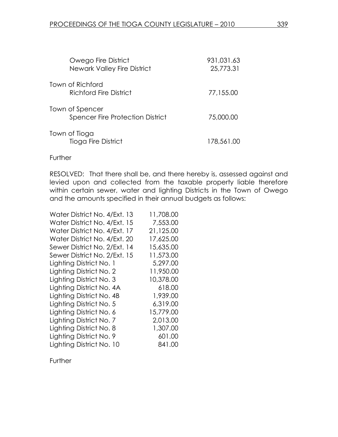| Owego Fire District<br><b>Newark Valley Fire District</b>  | 931,031.63<br>25,773.31 |
|------------------------------------------------------------|-------------------------|
| Town of Richford<br>Richford Fire District                 | 77,155.00               |
| Town of Spencer<br><b>Spencer Fire Protection District</b> | 75,000.00               |
| Town of Tioga<br>Tioga Fire District                       | 178,561.00              |

#### **Further**

RESOLVED: That there shall be, and there hereby is, assessed against and levied upon and collected from the taxable property liable therefore within certain sewer, water and lighting Districts in the Town of Owego and the amounts specified in their annual budgets as follows:

| Water District No. 4/Ext. 13 | 11,708.00 |
|------------------------------|-----------|
| Water District No. 4/Ext. 15 | 7,553.00  |
| Water District No. 4/Ext. 17 | 21,125.00 |
| Water District No. 4/Ext. 20 | 17,625.00 |
| Sewer District No. 2/Ext. 14 | 15,635.00 |
| Sewer District No. 2/Ext. 15 | 11,573.00 |
| Lighting District No. 1      | 5,297.00  |
| Lighting District No. 2      | 11,950.00 |
| Lighting District No. 3      | 10,378.00 |
| Lighting District No. 4A     | 618.00    |
| Lighting District No. 4B     | 1,939.00  |
| Lighting District No. 5      | 6,319.00  |
| Lighting District No. 6      | 15,779.00 |
| Lighting District No. 7      | 2,013.00  |
| Lighting District No. 8      | 1,307.00  |
| Lighting District No. 9      | 601.00    |
| Lighting District No. 10     | 841.00    |

**Further**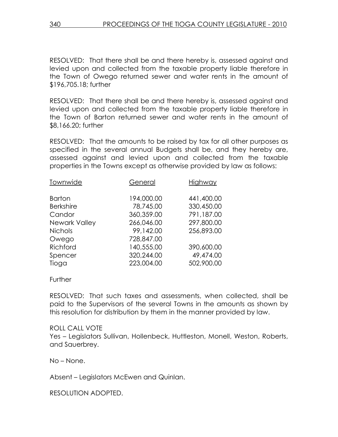RESOLVED: That there shall be and there hereby is, assessed against and levied upon and collected from the taxable property liable therefore in the Town of Owego returned sewer and water rents in the amount of \$196,705.18; further

RESOLVED: That there shall be and there hereby is, assessed against and levied upon and collected from the taxable property liable therefore in the Town of Barton returned sewer and water rents in the amount of \$8,166.20; further

RESOLVED: That the amounts to be raised by tax for all other purposes as specified in the several annual Budgets shall be, and they hereby are, assessed against and levied upon and collected from the taxable properties in the Towns except as otherwise provided by law as follows:

| Townwide         | General    | <b>Highway</b> |
|------------------|------------|----------------|
| <b>Barton</b>    | 194,000.00 | 441,400.00     |
| <b>Berkshire</b> | 78,745.00  | 330,450.00     |
| Candor           | 360,359.00 | 791,187.00     |
| Newark Valley    | 266,046.00 | 297,800.00     |
| <b>Nichols</b>   | 99,142.00  | 256,893.00     |
| Owego            | 728,847.00 |                |
| Richford         | 140,555.00 | 390,600.00     |
| Spencer          | 320,244.00 | 49,474.00      |
| Tioga            | 223,004.00 | 502,900.00     |

Further

RESOLVED: That such taxes and assessments, when collected, shall be paid to the Supervisors of the several Towns in the amounts as shown by this resolution for distribution by them in the manner provided by law.

## ROLL CALL VOTE

Yes – Legislators Sullivan, Hollenbeck, Huttleston, Monell, Weston, Roberts, and Sauerbrey.

No – None.

Absent – Legislators McEwen and Quinlan.

RESOLUTION ADOPTED.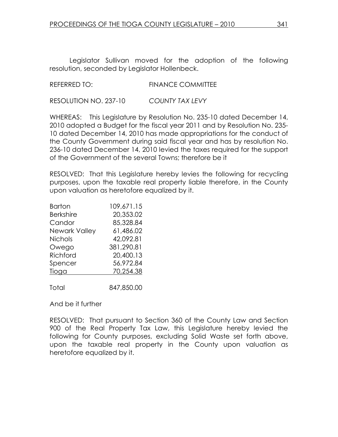Legislator Sullivan moved for the adoption of the following resolution, seconded by Legislator Hollenbeck.

### REFERRED TO: FINANCE COMMITTEE

RESOLUTION NO. 237-10 COUNTY TAX LEVY

WHEREAS: This Legislature by Resolution No. 235-10 dated December 14, 2010 adopted a Budget for the fiscal year 2011 and by Resolution No. 235- 10 dated December 14, 2010 has made appropriations for the conduct of the County Government during said fiscal year and has by resolution No. 236-10 dated December 14, 2010 levied the taxes required for the support of the Government of the several Towns; therefore be it

RESOLVED: That this Legislature hereby levies the following for recycling purposes, upon the taxable real property liable therefore, in the County upon valuation as heretofore equalized by it.

| <b>Barton</b>        | 109,671.15 |
|----------------------|------------|
| <b>Berkshire</b>     | 20,353.02  |
| Candor               | 85,328.84  |
| <b>Newark Valley</b> | 61.486.02  |
| <b>Nichols</b>       | 42,092.81  |
| Owego                | 381,290.81 |
| Richford             | 20,400.13  |
| Spencer              | 56,972.84  |
| Tioga                | 70,254.38  |
|                      |            |
| Total                | 847,850.00 |

And be it further

RESOLVED: That pursuant to Section 360 of the County Law and Section 900 of the Real Property Tax Law, this Legislature hereby levied the following for County purposes, excluding Solid Waste set forth above, upon the taxable real property in the County upon valuation as heretofore equalized by it.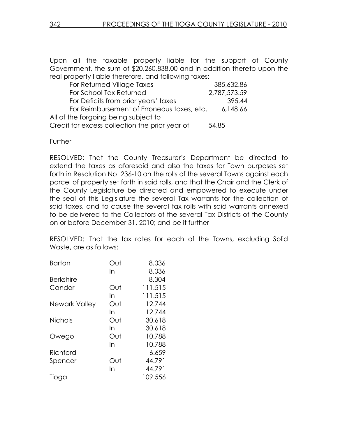Upon all the taxable property liable for the support of County Government, the sum of \$20,260,838.00 and in addition thereto upon the real property liable therefore, and following taxes:

| For Returned Village Taxes                     | 385,632.86   |
|------------------------------------------------|--------------|
| For School Tax Returned                        | 2,787,573.59 |
| For Deficits from prior years' taxes           | 395.44       |
| For Reimbursement of Erroneous taxes, etc.     | 6,148.66     |
| All of the forgoing being subject to           |              |
| Credit for excess collection the prior year of | 54.85        |

**Further** 

RESOLVED: That the County Treasurer's Department be directed to extend the taxes as aforesaid and also the taxes for Town purposes set forth in Resolution No. 236-10 on the rolls of the several Towns against each parcel of property set forth in said rolls, and that the Chair and the Clerk of the County Legislature be directed and empowered to execute under the seal of this Legislature the several Tax warrants for the collection of said taxes, and to cause the several tax rolls with said warrants annexed to be delivered to the Collectors of the several Tax Districts of the County on or before December 31, 2010; and be it further

RESOLVED: That the tax rates for each of the Towns, excluding Solid Waste, are as follows:

| Out | 8.036   |
|-----|---------|
| In  | 8.036   |
|     | 8.304   |
| Out | 111.515 |
| In  | 111.515 |
| Out | 12.744  |
| In  | 12.744  |
| Out | 30.618  |
| In  | 30.618  |
| Out | 10.788  |
| In  | 10.788  |
|     | 6.659   |
| Out | 44.791  |
| In  | 44.791  |
|     | 109.556 |
|     |         |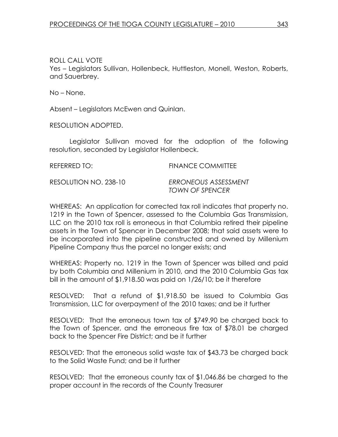ROLL CALL VOTE Yes – Legislators Sullivan, Hollenbeck, Huttleston, Monell, Weston, Roberts, and Sauerbrey.

No – None.

Absent – Legislators McEwen and Quinlan.

RESOLUTION ADOPTED.

 Legislator Sullivan moved for the adoption of the following resolution, seconded by Legislator Hollenbeck.

| REFERRED TO:          | <b>FINANCE COMMITTEE</b>                       |
|-----------------------|------------------------------------------------|
| RESOLUTION NO. 238-10 | ERRONEOUS ASSESSMENT<br><b>TOWN OF SPENCER</b> |

WHEREAS: An application for corrected tax roll indicates that property no. 1219 in the Town of Spencer, assessed to the Columbia Gas Transmission, LLC on the 2010 tax roll is erroneous in that Columbia retired their pipeline assets in the Town of Spencer in December 2008; that said assets were to be incorporated into the pipeline constructed and owned by Millenium Pipeline Company thus the parcel no longer exists; and

WHEREAS: Property no. 1219 in the Town of Spencer was billed and paid by both Columbia and Millenium in 2010, and the 2010 Columbia Gas tax bill in the amount of \$1,918.50 was paid on 1/26/10; be it therefore

RESOLVED: That a refund of \$1,918.50 be issued to Columbia Gas Transmission, LLC for overpayment of the 2010 taxes; and be it further

RESOLVED: That the erroneous town tax of \$749.90 be charged back to the Town of Spencer, and the erroneous fire tax of \$78.01 be charged back to the Spencer Fire District; and be it further

RESOLVED: That the erroneous solid waste tax of \$43.73 be charged back to the Solid Waste Fund; and be it further

RESOLVED: That the erroneous county tax of \$1,046.86 be charged to the proper account in the records of the County Treasurer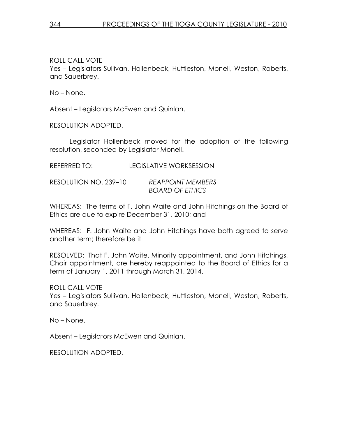ROLL CALL VOTE

Yes – Legislators Sullivan, Hollenbeck, Huttleston, Monell, Weston, Roberts, and Sauerbrey.

No – None.

Absent – Legislators McEwen and Quinlan.

RESOLUTION ADOPTED.

 Legislator Hollenbeck moved for the adoption of the following resolution, seconded by Legislator Monell.

REFERRED TO: LEGISLATIVE WORKSESSION

RESOLUTION NO. 239–10 REAPPOINT MEMBERS BOARD OF ETHICS

WHEREAS: The terms of F. John Waite and John Hitchings on the Board of Ethics are due to expire December 31, 2010; and

WHEREAS: F. John Waite and John Hitchings have both agreed to serve another term; therefore be it

RESOLVED: That F. John Waite, Minority appointment, and John Hitchings, Chair appointment, are hereby reappointed to the Board of Ethics for a term of January 1, 2011 through March 31, 2014.

ROLL CALL VOTE

Yes – Legislators Sullivan, Hollenbeck, Huttleston, Monell, Weston, Roberts, and Sauerbrey.

No – None.

Absent – Legislators McEwen and Quinlan.

RESOLUTION ADOPTED.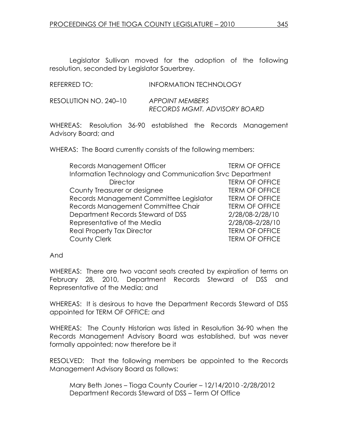Legislator Sullivan moved for the adoption of the following resolution, seconded by Legislator Sauerbrey.

RESOLUTION NO. 240–10 APPOINT MEMBERS RECORDS MGMT. ADVISORY BOARD

WHEREAS: Resolution 36-90 established the Records Management Advisory Board; and

WHERAS: The Board currently consists of the following members:

| Records Management Officer                               | <b>TERM OF OFFICE</b> |
|----------------------------------------------------------|-----------------------|
| Information Technology and Communication Srvc Department |                       |
| <b>Director</b>                                          | <b>TERM OF OFFICE</b> |
| County Treasurer or designee                             | <b>TERM OF OFFICE</b> |
| Records Management Committee Legislator                  | <b>TERM OF OFFICE</b> |
| Records Management Committee Chair                       | <b>TERM OF OFFICE</b> |
| Department Records Steward of DSS                        | 2/28/08-2/28/10       |
| Representative of the Media                              | 2/28/08-2/28/10       |
| <b>Real Property Tax Director</b>                        | <b>TERM OF OFFICE</b> |
| <b>County Clerk</b>                                      | <b>TERM OF OFFICE</b> |

And

WHEREAS: There are two vacant seats created by expiration of terms on February 28, 2010, Department Records Steward of DSS and Representative of the Media; and

WHEREAS: It is desirous to have the Department Records Steward of DSS appointed for TERM OF OFFICE; and

WHEREAS: The County Historian was listed in Resolution 36-90 when the Records Management Advisory Board was established, but was never formally appointed; now therefore be it

RESOLVED: That the following members be appointed to the Records Management Advisory Board as follows:

 Mary Beth Jones – Tioga County Courier – 12/14/2010 -2/28/2012 Department Records Steward of DSS – Term Of Office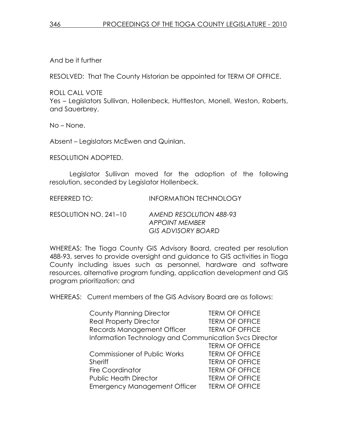And be it further

RESOLVED: That The County Historian be appointed for TERM OF OFFICE.

ROLL CALL VOTE Yes – Legislators Sullivan, Hollenbeck, Huttleston, Monell, Weston, Roberts, and Sauerbrey.

No – None.

Absent – Legislators McEwen and Quinlan.

RESOLUTION ADOPTED.

 Legislator Sullivan moved for the adoption of the following resolution, seconded by Legislator Hollenbeck.

REFERRED TO: **INFORMATION TECHNOLOGY** 

RESOLUTION NO. 241–10 AMEND RESOLUTION 488-93 APPOINT MEMBER GIS ADVISORY BOARD

WHEREAS: The Tioga County GIS Advisory Board, created per resolution 488-93, serves to provide oversight and guidance to GIS activities in Tioga County including issues such as personnel, hardware and software resources, alternative program funding, application development and GIS program prioritization; and

WHEREAS: Current members of the GIS Advisory Board are as follows:

| <b>County Planning Director</b>                        | <b>TERM OF OFFICE</b> |
|--------------------------------------------------------|-----------------------|
| <b>Real Property Director</b>                          | <b>TERM OF OFFICE</b> |
| Records Management Officer                             | <b>TERM OF OFFICE</b> |
| Information Technology and Communication Svcs Director |                       |
|                                                        | <b>TERM OF OFFICE</b> |
| <b>Commissioner of Public Works</b>                    | <b>TERM OF OFFICE</b> |
| <b>Sheriff</b>                                         | <b>TERM OF OFFICE</b> |
| <b>Fire Coordinator</b>                                | <b>TERM OF OFFICE</b> |
| <b>Public Heath Director</b>                           | <b>TERM OF OFFICE</b> |
| <b>Emergency Management Officer</b>                    | <b>TERM OF OFFICE</b> |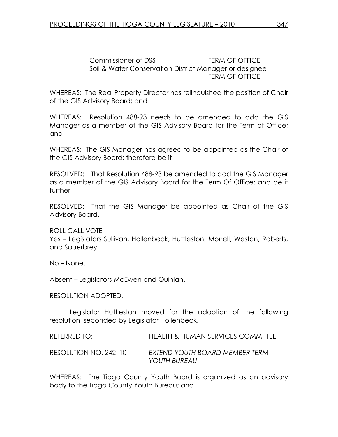Commissioner of DSS TERM OF OFFICE Soil & Water Conservation District Manager or designee TERM OF OFFICE

WHEREAS: The Real Property Director has relinquished the position of Chair of the GIS Advisory Board; and

WHEREAS: Resolution 488-93 needs to be amended to add the GIS Manager as a member of the GIS Advisory Board for the Term of Office; and

WHEREAS: The GIS Manager has agreed to be appointed as the Chair of the GIS Advisory Board; therefore be it

RESOLVED: That Resolution 488-93 be amended to add the GIS Manager as a member of the GIS Advisory Board for the Term Of Office; and be it further

RESOLVED: That the GIS Manager be appointed as Chair of the GIS Advisory Board.

ROLL CALL VOTE Yes – Legislators Sullivan, Hollenbeck, Huttleston, Monell, Weston, Roberts, and Sauerbrey.

No – None.

Absent – Legislators McEwen and Quinlan.

RESOLUTION ADOPTED.

 Legislator Huttleston moved for the adoption of the following resolution, seconded by Legislator Hollenbeck.

REFERRED TO: HEALTH & HUMAN SERVICES COMMITTEE RESOLUTION NO. 242–10 EXTEND YOUTH BOARD MEMBER TERM YOUTH BUREAU

WHEREAS: The Tioga County Youth Board is organized as an advisory body to the Tioga County Youth Bureau; and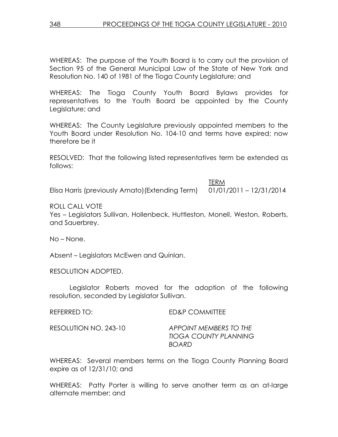WHEREAS: The purpose of the Youth Board is to carry out the provision of Section 95 of the General Municipal Law of the State of New York and Resolution No. 140 of 1981 of the Tioga County Legislature; and

WHEREAS: The Tioga County Youth Board Bylaws provides for representatives to the Youth Board be appointed by the County Legislature; and

WHEREAS: The County Legislature previously appointed members to the Youth Board under Resolution No. 104-10 and terms have expired; now therefore be it

RESOLVED: That the following listed representatives term be extended as follows:

the contract of the contract of the contract of the contract of the contract of the contract of the contract of the contract of the contract of the contract of the contract of the contract of the contract of the contract o Elisa Harris (previously Amato)(Extending Term) 01/01/2011 – 12/31/2014

ROLL CALL VOTE

Yes – Legislators Sullivan, Hollenbeck, Huttleston, Monell, Weston, Roberts, and Sauerbrey.

No – None.

Absent – Legislators McEwen and Quinlan.

RESOLUTION ADOPTED.

 Legislator Roberts moved for the adoption of the following resolution, seconded by Legislator Sullivan.

| REFERRED TO: | <b>ED&amp;P COMMITTEE</b> |  |
|--------------|---------------------------|--|
|              |                           |  |

RESOLUTION NO. 243-10 APPOINT MEMBERS TO THE TIOGA COUNTY PLANNING BOARD

WHEREAS: Several members terms on the Tioga County Planning Board expire as of 12/31/10; and

WHEREAS: Patty Porter is willing to serve another term as an at-large alternate member; and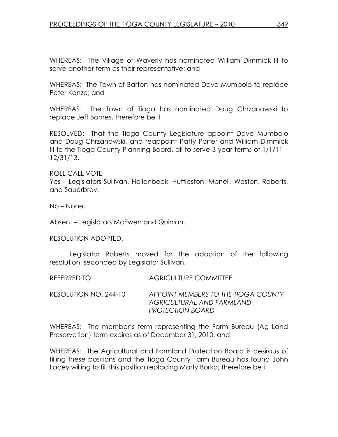WHEREAS: The Village of Waverly has nominated William Dimmick III to serve another term as their representative; and

WHEREAS: The Town of Barton has nominated Dave Mumbolo to replace Peter Kanze; and

WHEREAS: The Town of Tioga has nominated Doug Chrzanowski to replace Jeff Barnes, therefore be it

RESOLVED: That the Tioga County Legislature appoint Dave Mumbolo and Doug Chrzanowski, and reappoint Patty Porter and William Dimmick III to the Tioga County Planning Board, all to serve 3-year terms of 1/1/11 – 12/31/13.

ROLL CALL VOTE Yes – Legislators Sullivan, Hollenbeck, Huttleston, Monell, Weston, Roberts, and Sauerbrey.

No – None.

Absent – Legislators McEwen and Quinlan.

RESOLUTION ADOPTED.

 Legislator Roberts moved for the adoption of the following resolution, seconded by Legislator Sullivan.

REFERRED TO: AGRICULTURE COMMITTEE

RESOLUTION NO. 244-10 APPOINT MEMBERS TO THE TIOGA COUNTY AGRICULTURAL AND FARMLAND PROTECTION BOARD

WHEREAS: The member's term representing the Farm Bureau (Ag Land Preservation) term expires as of December 31, 2010, and

WHEREAS: The Agricultural and Farmland Protection Board is desirous of filling these positions and the Tioga County Farm Bureau has found John Lacey willing to fill this position replacing Marty Borko; therefore be it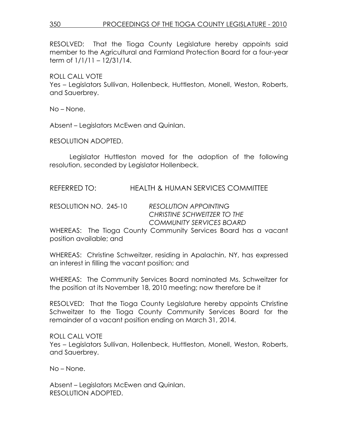RESOLVED: That the Tioga County Legislature hereby appoints said member to the Agricultural and Farmland Protection Board for a four-year term of 1/1/11 – 12/31/14.

ROLL CALL VOTE

Yes – Legislators Sullivan, Hollenbeck, Huttleston, Monell, Weston, Roberts, and Sauerbrey.

No – None.

Absent – Legislators McEwen and Quinlan.

RESOLUTION ADOPTED.

 Legislator Huttleston moved for the adoption of the following resolution, seconded by Legislator Hollenbeck.

REFERRED TO: HEALTH & HUMAN SERVICES COMMITTEE

RESOLUTION NO. 245-10 RESOLUTION APPOINTING CHRISTINE SCHWEITZER TO THE COMMUNITY SERVICES BOARD

WHEREAS: The Tioga County Community Services Board has a vacant position available; and

WHEREAS: Christine Schweitzer, residing in Apalachin, NY, has expressed an interest in filling the vacant position; and

WHEREAS: The Community Services Board nominated Ms. Schweitzer for the position at its November 18, 2010 meeting; now therefore be it

RESOLVED: That the Tioga County Legislature hereby appoints Christine Schweitzer to the Tioga County Community Services Board for the remainder of a vacant position ending on March 31, 2014.

ROLL CALL VOTE Yes – Legislators Sullivan, Hollenbeck, Huttleston, Monell, Weston, Roberts, and Sauerbrey.

No – None.

Absent – Legislators McEwen and Quinlan. RESOLUTION ADOPTED.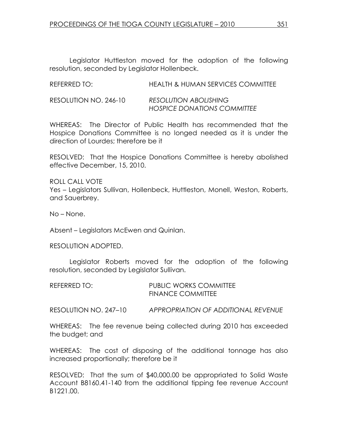Legislator Huttleston moved for the adoption of the following resolution, seconded by Legislator Hollenbeck.

| REFERRED TO:          | HEALTH & HUMAN SERVICES COMMITTEE                                  |
|-----------------------|--------------------------------------------------------------------|
| RESOLUTION NO. 246-10 | <b>RESOLUTION ABOLISHING</b><br><b>HOSPICE DONATIONS COMMITTEE</b> |

WHEREAS: The Director of Public Health has recommended that the Hospice Donations Committee is no longed needed as it is under the direction of Lourdes; therefore be it

RESOLVED: That the Hospice Donations Committee is hereby abolished effective December, 15, 2010.

ROLL CALL VOTE Yes – Legislators Sullivan, Hollenbeck, Huttleston, Monell, Weston, Roberts, and Sauerbrey.

No – None.

Absent – Legislators McEwen and Quinlan.

RESOLUTION ADOPTED.

 Legislator Roberts moved for the adoption of the following resolution, seconded by Legislator Sullivan.

| REFERRED TO: | <b>PUBLIC WORKS COMMITTEE</b> |
|--------------|-------------------------------|
|              | <b>FINANCE COMMITTEE</b>      |

RESOLUTION NO. 247–10 APPROPRIATION OF ADDITIONAL REVENUE

WHEREAS: The fee revenue being collected during 2010 has exceeded the budget; and

WHEREAS: The cost of disposing of the additional tonnage has also increased proportionally; therefore be it

RESOLVED: That the sum of \$40,000.00 be appropriated to Solid Waste Account B8160.41-140 from the additional tipping fee revenue Account B1221.00.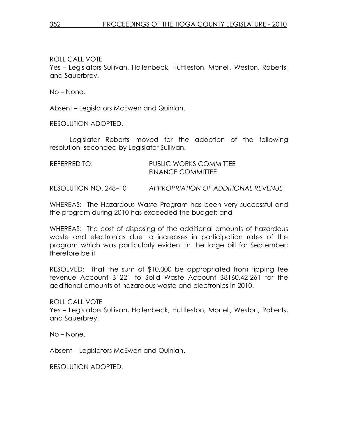ROLL CALL VOTE Yes – Legislators Sullivan, Hollenbeck, Huttleston, Monell, Weston, Roberts, and Sauerbrey.

No – None.

Absent – Legislators McEwen and Quinlan.

RESOLUTION ADOPTED.

 Legislator Roberts moved for the adoption of the following resolution, seconded by Legislator Sullivan.

| REFERRED TO: | <b>PUBLIC WORKS COMMITTEE</b> |
|--------------|-------------------------------|
|              | <b>FINANCE COMMITTEE</b>      |

RESOLUTION NO. 248–10 APPROPRIATION OF ADDITIONAL REVENUE

WHEREAS: The Hazardous Waste Program has been very successful and the program during 2010 has exceeded the budget; and

WHEREAS: The cost of disposing of the additional amounts of hazardous waste and electronics due to increases in participation rates of the program which was particularly evident in the large bill for September; therefore be it

RESOLVED: That the sum of \$10,000 be appropriated from tipping fee revenue Account B1221 to Solid Waste Account B8160.42-261 for the additional amounts of hazardous waste and electronics in 2010.

ROLL CALL VOTE Yes – Legislators Sullivan, Hollenbeck, Huttleston, Monell, Weston, Roberts, and Sauerbrey.

No – None.

Absent – Legislators McEwen and Quinlan.

RESOLUTION ADOPTED.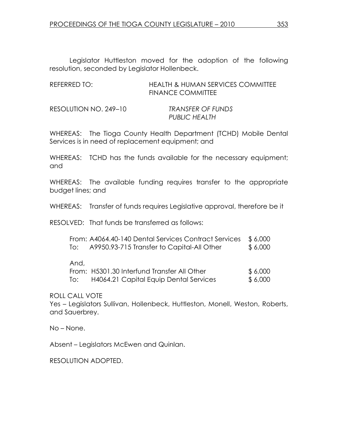Legislator Huttleston moved for the adoption of the following resolution, seconded by Legislator Hollenbeck.

| REFERRED TO: | HEALTH & HUMAN SERVICES COMMITTEE |
|--------------|-----------------------------------|
|              | <b>FINANCE COMMITTEE</b>          |

| RESOLUTION NO. 249-10 | <b>TRANSFER OF FUNDS</b> |
|-----------------------|--------------------------|
|                       | <b>PUBLIC HEALTH</b>     |

WHEREAS: The Tioga County Health Department (TCHD) Mobile Dental Services is in need of replacement equipment; and

WHEREAS: TCHD has the funds available for the necessary equipment; and

WHEREAS: The available funding requires transfer to the appropriate budget lines; and

WHEREAS: Transfer of funds requires Legislative approval, therefore be it

RESOLVED: That funds be transferred as follows:

|  | From: A4064.40-140 Dental Services Contract Services \$6,000 |         |
|--|--------------------------------------------------------------|---------|
|  | A9950.93-715 Transfer to Capital-All Other                   | \$6,000 |

And,

|     | From: H5301.30 Interfund Transfer All Other | \$ 6,000 |
|-----|---------------------------------------------|----------|
| To: | H4064.21 Capital Equip Dental Services      | \$ 6,000 |

ROLL CALL VOTE

Yes – Legislators Sullivan, Hollenbeck, Huttleston, Monell, Weston, Roberts, and Sauerbrey.

No – None.

Absent – Legislators McEwen and Quinlan.

RESOLUTION ADOPTED.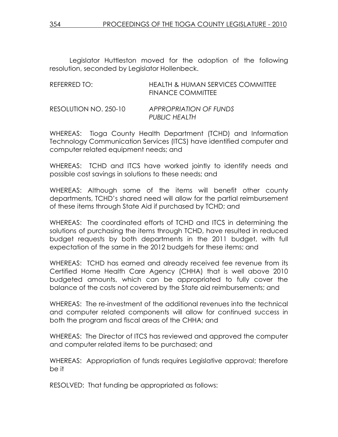Legislator Huttleston moved for the adoption of the following resolution, seconded by Legislator Hollenbeck.

| REFERRED TO:          | <b>HEALTH &amp; HUMAN SERVICES COMMITTEE</b><br><b>FINANCE COMMITTEE</b> |
|-----------------------|--------------------------------------------------------------------------|
| RESOLUTION NO. 250-10 | <b>APPROPRIATION OF FUNDS</b><br>PUBLIC HEALTH                           |

WHEREAS: Tioga County Health Department (TCHD) and Information Technology Communication Services (ITCS) have identified computer and computer related equipment needs; and

WHEREAS: TCHD and ITCS have worked jointly to identify needs and possible cost savings in solutions to these needs; and

WHEREAS: Although some of the items will benefit other county departments, TCHD's shared need will allow for the partial reimbursement of these items through State Aid if purchased by TCHD; and

WHEREAS: The coordinated efforts of TCHD and ITCS in determining the solutions of purchasing the items through TCHD, have resulted in reduced budget requests by both departments in the 2011 budget, with full expectation of the same in the 2012 budgets for these items; and

WHEREAS: TCHD has earned and already received fee revenue from its Certified Home Health Care Agency (CHHA) that is well above 2010 budgeted amounts, which can be appropriated to fully cover the balance of the costs not covered by the State aid reimbursements; and

WHEREAS: The re-investment of the additional revenues into the technical and computer related components will allow for continued success in both the program and fiscal areas of the CHHA; and

WHEREAS: The Director of ITCS has reviewed and approved the computer and computer related items to be purchased; and

WHEREAS: Appropriation of funds requires Legislative approval; therefore be it

RESOLVED: That funding be appropriated as follows: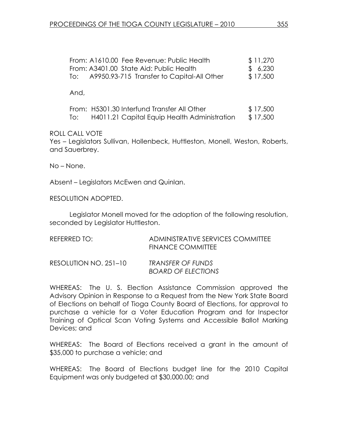| From: A1610.00 Fee Revenue: Public Health      | \$ 11,270 |
|------------------------------------------------|-----------|
| From: A3401.00 State Aid: Public Health        | \$6,230   |
| To: A9950.93-715 Transfer to Capital-All Other | \$17,500  |
|                                                |           |

And,

|     | From: H5301.30 Interfund Transfer All Other  | \$17,500 |
|-----|----------------------------------------------|----------|
| To: | H4011.21 Capital Equip Health Administration | \$17,500 |

ROLL CALL VOTE

Yes – Legislators Sullivan, Hollenbeck, Huttleston, Monell, Weston, Roberts, and Sauerbrey.

No – None.

Absent – Legislators McEwen and Quinlan.

RESOLUTION ADOPTED.

 Legislator Monell moved for the adoption of the following resolution, seconded by Legislator Huttleston.

| REFERRED TO:          | ADMINISTRATIVE SERVICES COMMITTEE<br>FINANCE COMMITTEE |
|-----------------------|--------------------------------------------------------|
| RESOLUTION NO. 251–10 | TRANSFER OF FUNDS<br><b>BOARD OF ELECTIONS</b>         |

WHEREAS: The U. S. Election Assistance Commission approved the Advisory Opinion in Response to a Request from the New York State Board of Elections on behalf of Tioga County Board of Elections, for approval to purchase a vehicle for a Voter Education Program and for Inspector Training of Optical Scan Voting Systems and Accessible Ballot Marking Devices; and

WHEREAS: The Board of Elections received a grant in the amount of \$35,000 to purchase a vehicle; and

WHEREAS: The Board of Elections budget line for the 2010 Capital Equipment was only budgeted at \$30,000.00; and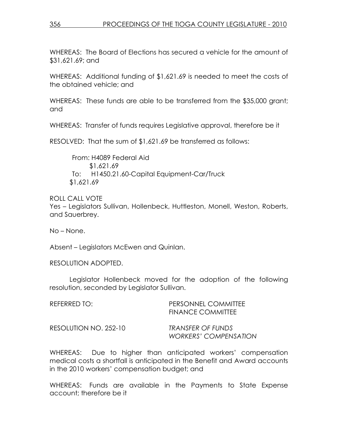WHEREAS: The Board of Elections has secured a vehicle for the amount of \$31,621.69; and

WHEREAS: Additional funding of \$1,621.69 is needed to meet the costs of the obtained vehicle; and

WHEREAS: These funds are able to be transferred from the \$35,000 grant; and

WHEREAS: Transfer of funds requires Legislative approval, therefore be it

RESOLVED: That the sum of \$1,621.69 be transferred as follows:

 From: H4089 Federal Aid \$1,621.69 To: H1450.21.60-Capital Equipment-Car/Truck \$1,621.69

ROLL CALL VOTE

Yes – Legislators Sullivan, Hollenbeck, Huttleston, Monell, Weston, Roberts, and Sauerbrey.

No – None.

Absent – Legislators McEwen and Quinlan.

RESOLUTION ADOPTED.

 Legislator Hollenbeck moved for the adoption of the following resolution, seconded by Legislator Sullivan.

| REFERRED TO:          | PERSONNEL COMMITTEE<br><b>FINANCE COMMITTEE</b>   |
|-----------------------|---------------------------------------------------|
| RESOLUTION NO. 252-10 | TRANSFER OF FUNDS<br><b>WORKERS' COMPENSATION</b> |

WHEREAS: Due to higher than anticipated workers' compensation medical costs a shortfall is anticipated in the Benefit and Award accounts in the 2010 workers' compensation budget; and

WHEREAS: Funds are available in the Payments to State Expense account; therefore be it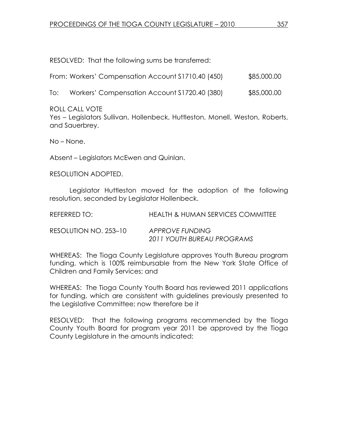RESOLVED: That the following sums be transferred:

| From: Workers' Compensation Account \$1710.40 (450) | \$85,000.00 |
|-----------------------------------------------------|-------------|
|-----------------------------------------------------|-------------|

To: Workers' Compensation Account \$1720.40 (380) \$85,000.00

ROLL CALL VOTE

Yes – Legislators Sullivan, Hollenbeck, Huttleston, Monell, Weston, Roberts, and Sauerbrey.

No – None.

Absent – Legislators McEwen and Quinlan.

RESOLUTION ADOPTED.

 Legislator Huttleston moved for the adoption of the following resolution, seconded by Legislator Hollenbeck.

| REFERRED TO:          | HEALTH & HUMAN SERVICES COMMITTEE             |
|-----------------------|-----------------------------------------------|
| RESOLUTION NO. 253-10 | APPROVE FUNDING<br>2011 YOUTH BUREAU PROGRAMS |

WHEREAS: The Tioga County Legislature approves Youth Bureau program funding, which is 100% reimbursable from the New York State Office of Children and Family Services; and

WHEREAS: The Tioga County Youth Board has reviewed 2011 applications for funding, which are consistent with guidelines previously presented to the Legislative Committee; now therefore be it

RESOLVED: That the following programs recommended by the Tioga County Youth Board for program year 2011 be approved by the Tioga County Legislature in the amounts indicated: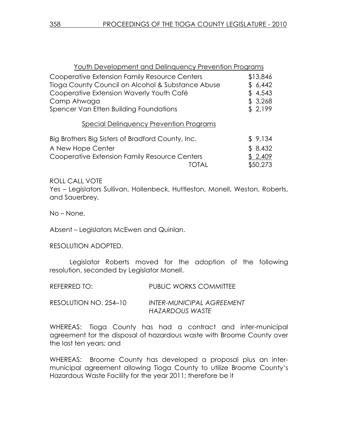| Youth Development and Delinquency Prevention Programs |          |
|-------------------------------------------------------|----------|
| Cooperative Extension Family Resource Centers         | \$13,846 |
| Tioga County Council on Alcohol & Substance Abuse     | \$6,442  |
| Cooperative Extension Waverly Youth Café              | \$4,543  |
| Camp Ahwaga                                           | \$3,268  |
| Spencer Van Etten Building Foundations                | \$2,199  |
| <b>Special Delinquency Prevention Programs</b>        |          |
| Big Brothers Big Sisters of Bradford County, Inc.     | \$9,134  |
| A New Hope Center                                     | \$8,432  |
| Cooperative Extension Family Resource Centers         | \$2,409  |
| TOTAI                                                 | \$50,273 |
|                                                       |          |

ROLL CALL VOTE Yes – Legislators Sullivan, Hollenbeck, Huttleston, Monell, Weston, Roberts, and Sauerbrey.

No – None.

Absent – Legislators McEwen and Quinlan.

RESOLUTION ADOPTED.

 Legislator Roberts moved for the adoption of the following resolution, seconded by Legislator Monell.

| REFERRED TO:          | <b>PUBLIC WORKS COMMITTEE</b> |
|-----------------------|-------------------------------|
| RESOLUTION NO. 254-10 | INTER-MUNICIPAL AGREEMENT     |

WHEREAS: Tioga County has had a contract and inter-municipal agreement for the disposal of hazardous waste with Broome County over the last ten years; and

HAZARDOUS WASTE

WHEREAS: Broome County has developed a proposal plus an intermunicipal agreement allowing Tioga County to utilize Broome County's Hazardous Waste Facility for the year 2011; therefore be it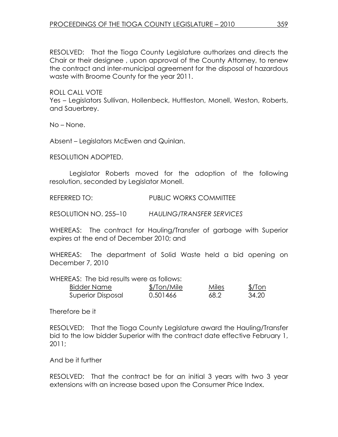RESOLVED: That the Tioga County Legislature authorizes and directs the Chair or their designee , upon approval of the County Attorney, to renew the contract and inter-municipal agreement for the disposal of hazardous waste with Broome County for the year 2011.

ROLL CALL VOTE

Yes – Legislators Sullivan, Hollenbeck, Huttleston, Monell, Weston, Roberts, and Sauerbrey.

No – None.

Absent – Legislators McEwen and Quinlan.

RESOLUTION ADOPTED.

 Legislator Roberts moved for the adoption of the following resolution, seconded by Legislator Monell.

REFERRED TO: PUBLIC WORKS COMMITTEE

RESOLUTION NO. 255–10 HAULING/TRANSFER SERVICES

WHEREAS: The contract for Hauling/Transfer of garbage with Superior expires at the end of December 2010; and

WHEREAS: The department of Solid Waste held a bid opening on December 7, 2010

WHEREAS: The bid results were as follows:

| Bidder Name       | \$/Ton/Mile | Miles | $$/$ Ton |
|-------------------|-------------|-------|----------|
| Superior Disposal | 0.501466    | 68.2  | 34.20    |

Therefore be it

RESOLVED: That the Tioga County Legislature award the Hauling/Transfer bid to the low bidder Superior with the contract date effective February 1, 2011;

And be it further

RESOLVED: That the contract be for an initial 3 years with two 3 year extensions with an increase based upon the Consumer Price Index.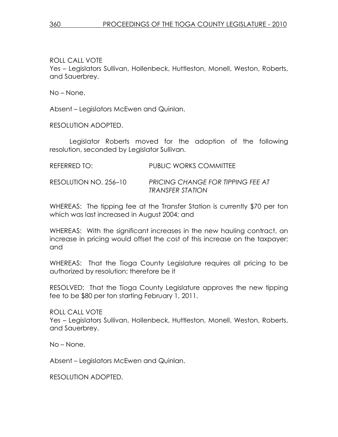ROLL CALL VOTE

Yes – Legislators Sullivan, Hollenbeck, Huttleston, Monell, Weston, Roberts, and Sauerbrey.

No – None.

Absent – Legislators McEwen and Quinlan.

RESOLUTION ADOPTED.

 Legislator Roberts moved for the adoption of the following resolution, seconded by Legislator Sullivan.

| <b>REFERRED TO:</b> | <b>PUBLIC WORKS COMMITTEE</b> |
|---------------------|-------------------------------|
|                     |                               |

RESOLUTION NO. 256–10 PRICING CHANGE FOR TIPPING FEE AT TRANSFER STATION

WHEREAS: The tipping fee at the Transfer Station is currently \$70 per ton which was last increased in August 2004; and

WHEREAS: With the significant increases in the new hauling contract, an increase in pricing would offset the cost of this increase on the taxpayer; and

WHEREAS: That the Tioga County Legislature requires all pricing to be authorized by resolution; therefore be it

RESOLVED: That the Tioga County Legislature approves the new tipping fee to be \$80 per ton starting February 1, 2011.

ROLL CALL VOTE Yes – Legislators Sullivan, Hollenbeck, Huttleston, Monell, Weston, Roberts, and Sauerbrey.

No – None.

Absent – Legislators McEwen and Quinlan.

RESOLUTION ADOPTED.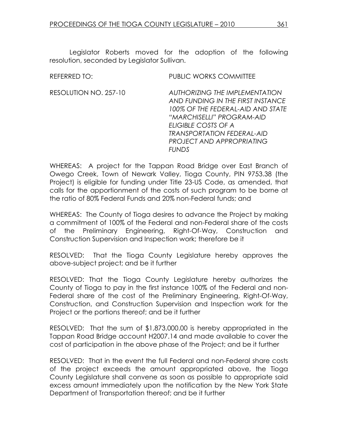REFERRED TO: THE PUBLIC WORKS COMMITTEE RESOLUTION NO. 257-10 AUTHORIZING THE IMPLEMENTATION AND FUNDING IN THE FIRST INSTANCE 100% OF THE FEDERAL-AID AND STATE "MARCHISELLI" PROGRAM-AID ELIGIBLE COSTS OF A TRANSPORTATION FEDERAL-AID PROJECT AND APPROPRIATING

WHEREAS: A project for the Tappan Road Bridge over East Branch of Owego Creek, Town of Newark Valley, Tioga County, PIN 9753.38 (the Project) is eligible for funding under Title 23-US Code, as amended, that calls for the apportionment of the costs of such program to be borne at the ratio of 80% Federal Funds and 20% non-Federal funds; and

FUNDS

WHEREAS: The County of Tioga desires to advance the Project by making a commitment of 100% of the Federal and non-Federal share of the costs of the Preliminary Engineering, Right-Of-Way, Construction and Construction Supervision and Inspection work; therefore be it

RESOLVED: That the Tioga County Legislature hereby approves the above-subject project; and be it further

RESOLVED: That the Tioga County Legislature hereby authorizes the County of Tioga to pay in the first instance 100% of the Federal and non-Federal share of the cost of the Preliminary Engineering, Right-Of-Way, Construction, and Construction Supervision and Inspection work for the Project or the portions thereof; and be it further

RESOLVED: That the sum of \$1,873,000.00 is hereby appropriated in the Tappan Road Bridge account H2007.14 and made available to cover the cost of participation in the above phase of the Project; and be it further

RESOLVED: That in the event the full Federal and non-Federal share costs of the project exceeds the amount appropriated above, the Tioga County Legislature shall convene as soon as possible to appropriate said excess amount immediately upon the notification by the New York State Department of Transportation thereof; and be it further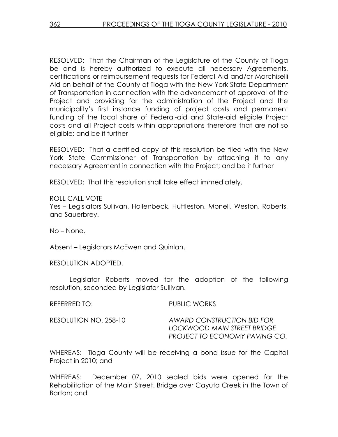RESOLVED: That the Chairman of the Legislature of the County of Tioga be and is hereby authorized to execute all necessary Agreements, certifications or reimbursement requests for Federal Aid and/or Marchiselli Aid on behalf of the County of Tioga with the New York State Department of Transportation in connection with the advancement of approval of the Project and providing for the administration of the Project and the municipality's first instance funding of project costs and permanent funding of the local share of Federal-aid and State-aid eligible Project costs and all Project costs within appropriations therefore that are not so eligible; and be it further

RESOLVED: That a certified copy of this resolution be filed with the New York State Commissioner of Transportation by attaching it to any necessary Agreement in connection with the Project; and be it further

RESOLVED: That this resolution shall take effect immediately.

ROLL CALL VOTE

Yes – Legislators Sullivan, Hollenbeck, Huttleston, Monell, Weston, Roberts, and Sauerbrey.

No – None.

Absent – Legislators McEwen and Quinlan.

RESOLUTION ADOPTED.

 Legislator Roberts moved for the adoption of the following resolution, seconded by Legislator Sullivan.

REFERRED TO: PUBLIC WORKS

RESOLUTION NO. 258-10 AWARD CONSTRUCTION BID FOR LOCKWOOD MAIN STREET BRIDGE PROJECT TO ECONOMY PAVING CO.

WHEREAS: Tioga County will be receiving a bond issue for the Capital Project in 2010; and

WHEREAS: December 07, 2010 sealed bids were opened for the Rehabilitation of the Main Street. Bridge over Cayuta Creek in the Town of Barton; and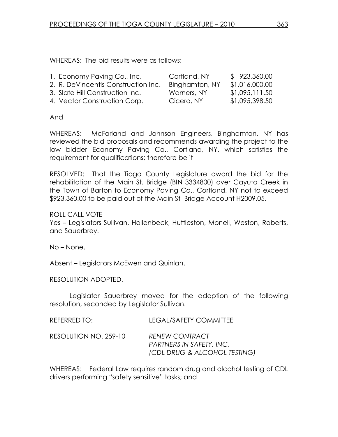WHEREAS: The bid results were as follows:

| 1. Economy Paving Co., Inc.         | Cortland, NY   | \$923,360.00   |
|-------------------------------------|----------------|----------------|
| 2. R. DeVincentis Construction Inc. | Binghamton, NY | \$1,016,000.00 |
| 3. Slate Hill Construction Inc.     | Warners, NY    | \$1,095,111.50 |
| 4. Vector Construction Corp.        | Cicero, NY     | \$1,095,398.50 |

### And

WHEREAS: McFarland and Johnson Engineers, Binghamton, NY has reviewed the bid proposals and recommends awarding the project to the low bidder Economy Paving Co., Cortland, NY, which satisfies the requirement for qualifications; therefore be it

RESOLVED: That the Tioga County Legislature award the bid for the rehabilitation of the Main St. Bridge (BIN 3334800) over Cayuta Creek in the Town of Barton to Economy Paving Co., Cortland, NY not to exceed \$923,360.00 to be paid out of the Main St Bridge Account H2009.05.

### ROLL CALL VOTE

Yes – Legislators Sullivan, Hollenbeck, Huttleston, Monell, Weston, Roberts, and Sauerbrey.

No – None.

Absent – Legislators McEwen and Quinlan.

RESOLUTION ADOPTED.

 Legislator Sauerbrey moved for the adoption of the following resolution, seconded by Legislator Sullivan.

| REFERRED TO:          | LEGAL/SAFETY COMMITTEE                                                            |
|-----------------------|-----------------------------------------------------------------------------------|
| RESOLUTION NO. 259-10 | <b>RENEW CONTRACT</b><br>PARTNERS IN SAFETY, INC.<br>(CDL DRUG & ALCOHOL TESTING) |

WHEREAS: Federal Law requires random drug and alcohol testing of CDL drivers performing "safety sensitive" tasks; and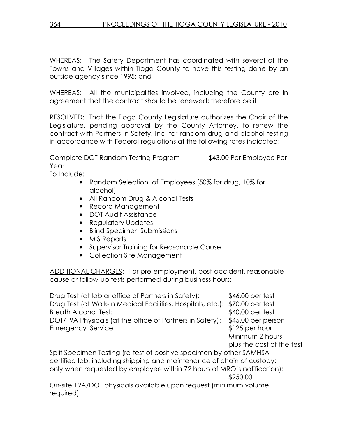WHEREAS: The Safety Department has coordinated with several of the Towns and Villages within Tioga County to have this testing done by an outside agency since 1995; and

WHEREAS: All the municipalities involved, including the County are in agreement that the contract should be renewed; therefore be it

RESOLVED: That the Tioga County Legislature authorizes the Chair of the Legislature, pending approval by the County Attorney, to renew the contract with Partners in Safety, Inc. for random drug and alcohol testing in accordance with Federal regulations at the following rates indicated:

# Complete DOT Random Testing Program \$43.00 Per Employee Per Year

To Include:

required).

- Random Selection of Employees (50% for drug, 10% for alcohol)
- All Random Drug & Alcohol Tests
- Record Management
- DOT Audit Assistance
- Regulatory Updates
- Blind Specimen Submissions
- MIS Reports
- Supervisor Training for Reasonable Cause
- Collection Site Management

ADDITIONAL CHARGES: For pre-employment, post-accident, reasonable cause or follow-up tests performed during business hours:

Drug Test (at lab or office of Partners in Safety): \$46.00 per test Drug Test (at Walk-In Medical Facilities, Hospitals, etc.): \$70.00 per test Breath Alcohol Test:  $$40.00$  per test DOT/19A Physicals (at the office of Partners in Safety): \$45.00 per person Emergency Service **\$125 per hour**  Minimum 2 hours plus the cost of the test Split Specimen Testing (re-test of positive specimen by other SAMHSA certified lab, including shipping and maintenance of chain of custody; only when requested by employee within 72 hours of MRO's notification): \$250.00 On-site 19A/DOT physicals available upon request (minimum volume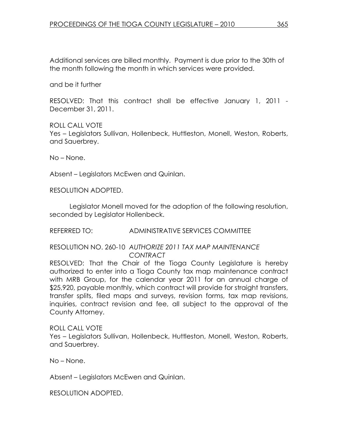Additional services are billed monthly. Payment is due prior to the 30th of the month following the month in which services were provided.

and be it further

RESOLVED: That this contract shall be effective January 1, 2011 - December 31, 2011.

ROLL CALL VOTE Yes – Legislators Sullivan, Hollenbeck, Huttleston, Monell, Weston, Roberts, and Sauerbrey.

No – None.

Absent – Legislators McEwen and Quinlan.

RESOLUTION ADOPTED.

 Legislator Monell moved for the adoption of the following resolution, seconded by Legislator Hollenbeck.

REFERRED TO: ADMINISTRATIVE SERVICES COMMITTEE

RESOLUTION NO. 260-10 AUTHORIZE 2011 TAX MAP MAINTENANCE CONTRACT

RESOLVED: That the Chair of the Tioga County Legislature is hereby authorized to enter into a Tioga County tax map maintenance contract with MRB Group, for the calendar year 2011 for an annual charge of \$25,920, payable monthly, which contract will provide for straight transfers, transfer splits, filed maps and surveys, revision forms, tax map revisions, inquiries, contract revision and fee, all subject to the approval of the County Attorney.

ROLL CALL VOTE Yes – Legislators Sullivan, Hollenbeck, Huttleston, Monell, Weston, Roberts, and Sauerbrey.

No – None.

Absent – Legislators McEwen and Quinlan.

RESOLUTION ADOPTED.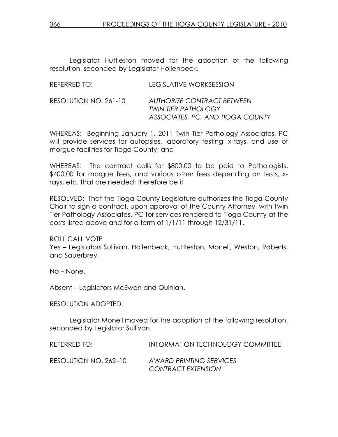Legislator Huttleston moved for the adoption of the following resolution, seconded by Legislator Hollenbeck.

| REFERRED TO:          | LEGISLATIVE WORKSESSION                                                                             |
|-----------------------|-----------------------------------------------------------------------------------------------------|
| RESOLUTION NO. 261-10 | <b>AUTHORIZE CONTRACT BETWEEN</b><br><b>TWIN TIER PATHOLOGY</b><br>ASSOCIATES, PC, AND TIOGA COUNTY |

WHEREAS: Beginning January 1, 2011 Twin Tier Pathology Associates, PC will provide services for autopsies, laboratory testing, x-rays, and use of morgue facilities for Tioga County; and

WHEREAS: The contract calls for \$800.00 to be paid to Pathologists, \$400.00 for morgue fees, and various other fees depending on tests, xrays, etc. that are needed; therefore be it

RESOLVED: That the Tioga County Legislature authorizes the Tioga County Chair to sign a contract, upon approval of the County Attorney, with Twin Tier Pathology Associates, PC for services rendered to Tioga County at the costs listed above and for a term of 1/1/11 through 12/31/11.

ROLL CALL VOTE Yes – Legislators Sullivan, Hollenbeck, Huttleston, Monell, Weston, Roberts, and Sauerbrey.

No – None.

Absent – Legislators McEwen and Quinlan.

### RESOLUTION ADOPTED.

 Legislator Monell moved for the adoption of the following resolution, seconded by Legislator Sullivan.

| REFERRED TO:          | INFORMATION TECHNOLOGY COMMITTEE |
|-----------------------|----------------------------------|
| RESOLUTION NO. 262–10 | AWARD PRINTING SERVICES          |
|                       | <b>CONTRACT EXTENSION</b>        |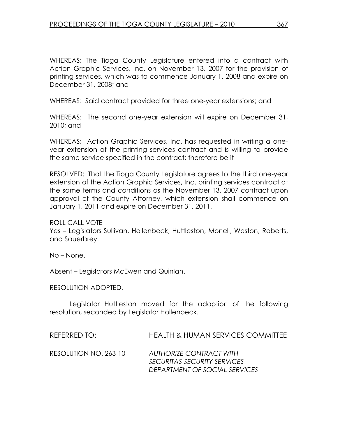WHEREAS: The Tioga County Legislature entered into a contract with Action Graphic Services, Inc. on November 13, 2007 for the provision of printing services, which was to commence January 1, 2008 and expire on December 31, 2008; and

WHEREAS: Said contract provided for three one-year extensions; and

WHEREAS: The second one-year extension will expire on December 31, 2010; and

WHEREAS: Action Graphic Services, Inc. has requested in writing a oneyear extension of the printing services contract and is willing to provide the same service specified in the contract; therefore be it

RESOLVED: That the Tioga County Legislature agrees to the third one-year extension of the Action Graphic Services, Inc. printing services contract at the same terms and conditions as the November 13, 2007 contract upon approval of the County Attorney, which extension shall commence on January 1, 2011 and expire on December 31, 2011.

ROLL CALL VOTE

Yes – Legislators Sullivan, Hollenbeck, Huttleston, Monell, Weston, Roberts, and Sauerbrey.

No – None.

Absent – Legislators McEwen and Quinlan.

RESOLUTION ADOPTED.

 Legislator Huttleston moved for the adoption of the following resolution, seconded by Legislator Hollenbeck.

REFERRED TO: HEALTH & HUMAN SERVICES COMMITTEE

RESOLUTION NO. 263-10 AUTHORIZE CONTRACT WITH SECURITAS SECURITY SERVICES DEPARTMENT OF SOCIAL SERVICES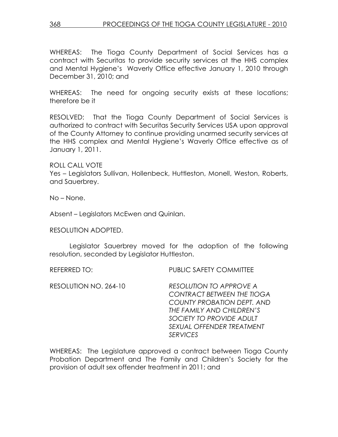WHEREAS: The Tioga County Department of Social Services has a contract with Securitas to provide security services at the HHS complex and Mental Hygiene's Waverly Office effective January 1, 2010 through December 31, 2010; and

WHEREAS: The need for ongoing security exists at these locations; therefore be it

RESOLVED: That the Tioga County Department of Social Services is authorized to contract with Securitas Security Services USA upon approval of the County Attorney to continue providing unarmed security services at the HHS complex and Mental Hygiene's Waverly Office effective as of January 1, 2011.

ROLL CALL VOTE Yes – Legislators Sullivan, Hollenbeck, Huttleston, Monell, Weston, Roberts, and Sauerbrey.

No – None.

Absent – Legislators McEwen and Quinlan.

RESOLUTION ADOPTED.

 Legislator Sauerbrey moved for the adoption of the following resolution, seconded by Legislator Huttleston.

REFERRED TO: PUBLIC SAFETY COMMITTEE

| RESOLUTION NO. 264-10 | <b>RESOLUTION TO APPROVE A</b>    |
|-----------------------|-----------------------------------|
|                       | <b>CONTRACT BETWEEN THE TIOGA</b> |
|                       | <b>COUNTY PROBATION DEPT. AND</b> |
|                       | THE FAMILY AND CHILDREN'S         |
|                       | SOCIETY TO PROVIDE ADULT          |
|                       | SEXUAL OFFENDER TREATMENT         |
|                       | <b>SERVICES</b>                   |

WHEREAS: The Legislature approved a contract between Tioga County Probation Department and The Family and Children's Society for the provision of adult sex offender treatment in 2011; and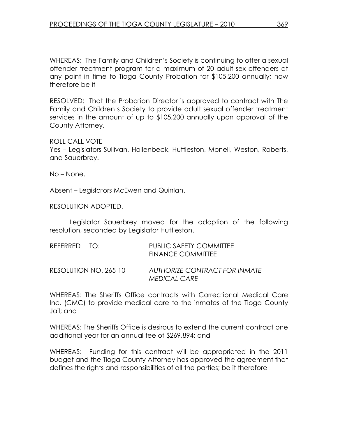WHEREAS: The Family and Children's Society is continuing to offer a sexual offender treatment program for a maximum of 20 adult sex offenders at any point in time to Tioga County Probation for \$105,200 annually; now therefore be it

RESOLVED: That the Probation Director is approved to contract with The Family and Children's Society to provide adult sexual offender treatment services in the amount of up to \$105,200 annually upon approval of the County Attorney.

ROLL CALL VOTE

Yes – Legislators Sullivan, Hollenbeck, Huttleston, Monell, Weston, Roberts, and Sauerbrey.

No – None.

Absent – Legislators McEwen and Quinlan.

RESOLUTION ADOPTED.

 Legislator Sauerbrey moved for the adoption of the following resolution, seconded by Legislator Huttleston.

| REFERRED TO: |                       | PUBLIC SAFETY COMMITTEE<br><b>FINANCE COMMITTEE</b>  |
|--------------|-----------------------|------------------------------------------------------|
|              | RESOLUTION NO. 265-10 | AUTHORIZE CONTRACT FOR INMATE<br><b>MEDICAL CARE</b> |

WHEREAS: The Sheriffs Office contracts with Correctional Medical Care Inc. (CMC) to provide medical care to the inmates of the Tioga County Jail; and

WHEREAS: The Sheriffs Office is desirous to extend the current contract one additional year for an annual fee of \$269,894; and

WHEREAS: Funding for this contract will be appropriated in the 2011 budget and the Tioga County Attorney has approved the agreement that defines the rights and responsibilities of all the parties; be it therefore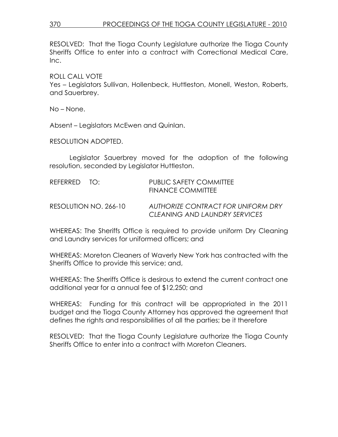# 370 PROCEEDINGS OF THE TIOGA COUNTY LEGISLATURE - 2010

RESOLVED: That the Tioga County Legislature authorize the Tioga County Sheriffs Office to enter into a contract with Correctional Medical Care, Inc.

ROLL CALL VOTE

Yes – Legislators Sullivan, Hollenbeck, Huttleston, Monell, Weston, Roberts, and Sauerbrey.

No – None.

Absent – Legislators McEwen and Quinlan.

RESOLUTION ADOPTED.

 Legislator Sauerbrey moved for the adoption of the following resolution, seconded by Legislator Huttleston.

| REFERRED TO: |                       | PUBLIC SAFETY COMMITTEE<br><b>FINANCE COMMITTEE</b>                 |
|--------------|-----------------------|---------------------------------------------------------------------|
|              | RESOLUTION NO. 266-10 | AUTHORIZE CONTRACT FOR UNIFORM DRY<br>CLEANING AND LAUNDRY SERVICES |

WHEREAS: The Sheriffs Office is required to provide uniform Dry Cleaning and Laundry services for uniformed officers; and

WHEREAS: Moreton Cleaners of Waverly New York has contracted with the Sheriffs Office to provide this service; and,

WHEREAS: The Sheriffs Office is desirous to extend the current contract one additional year for a annual fee of \$12,250; and

WHEREAS: Funding for this contract will be appropriated in the 2011 budget and the Tioga County Attorney has approved the agreement that defines the rights and responsibilities of all the parties; be it therefore

RESOLVED: That the Tioga County Legislature authorize the Tioga County Sheriffs Office to enter into a contract with Moreton Cleaners.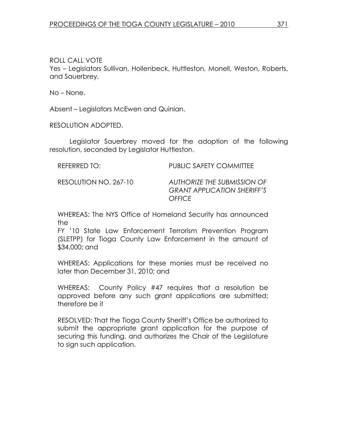ROLL CALL VOTE

Yes – Legislators Sullivan, Hollenbeck, Huttleston, Monell, Weston, Roberts, and Sauerbrey.

No – None.

Absent – Legislators McEwen and Quinlan.

RESOLUTION ADOPTED.

 Legislator Sauerbrey moved for the adoption of the following resolution, seconded by Legislator Huttleston.

REFERRED TO: PUBLIC SAFETY COMMITTEE

RESOLUTION NO. 267-10 AUTHORIZE THE SUBMISSION OF GRANT APPLICATION SHERIFF'S **OFFICE** 

WHEREAS: The NYS Office of Homeland Security has announced the

FY '10 State Law Enforcement Terrorism Prevention Program (SLETPP) for Tioga County Law Enforcement in the amount of \$34,000; and

WHEREAS: Applications for these monies must be received no later than December 31, 2010; and

WHEREAS: County Policy #47 requires that a resolution be approved before any such grant applications are submitted; therefore be it

RESOLVED: That the Tioga County Sheriff's Office be authorized to submit the appropriate grant application for the purpose of securing this funding, and authorizes the Chair of the Legislature to sign such application.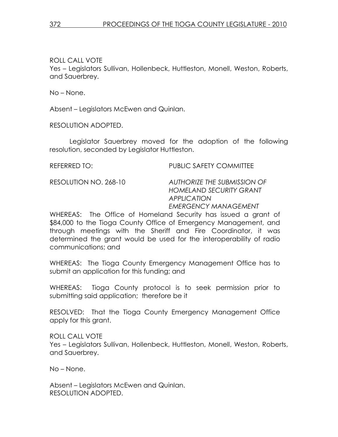ROLL CALL VOTE

Yes – Legislators Sullivan, Hollenbeck, Huttleston, Monell, Weston, Roberts, and Sauerbrey.

No – None.

Absent – Legislators McEwen and Quinlan.

RESOLUTION ADOPTED.

 Legislator Sauerbrey moved for the adoption of the following resolution, seconded by Legislator Huttleston.

REFERRED TO: PUBLIC SAFETY COMMITTEE

RESOLUTION NO. 268-10 AUTHORIZE THE SUBMISSION OF HOMELAND SECURITY GRANT APPLICATION EMERGENCY MANAGEMENT

WHEREAS: The Office of Homeland Security has issued a grant of \$84,000 to the Tioga County Office of Emergency Management, and through meetings with the Sheriff and Fire Coordinator, it was determined the grant would be used for the interoperability of radio communications; and

WHEREAS: The Tioga County Emergency Management Office has to submit an application for this funding; and

WHEREAS: Tioga County protocol is to seek permission prior to submitting said application; therefore be it

RESOLVED: That the Tioga County Emergency Management Office apply for this grant.

ROLL CALL VOTE Yes – Legislators Sullivan, Hollenbeck, Huttleston, Monell, Weston, Roberts, and Sauerbrey.

No – None.

Absent – Legislators McEwen and Quinlan. RESOLUTION ADOPTED.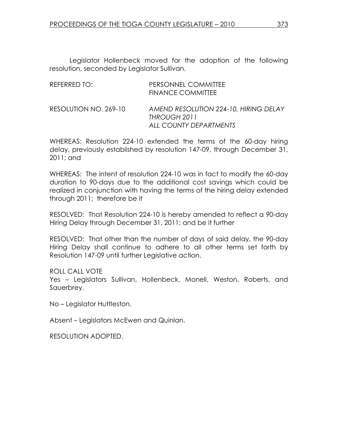| REFERRED TO:          | PERSONNEL COMMITTEE<br><b>FINANCE COMMITTEE</b>                                 |
|-----------------------|---------------------------------------------------------------------------------|
| RESOLUTION NO. 269-10 | AMEND RESOLUTION 224-10, HIRING DELAY<br>THROUGH 2011<br>ALL COUNTY DEPARTMENTS |

WHEREAS: Resolution 224-10 extended the terms of the 60-day hiring delay, previously established by resolution 147-09, through December 31, 2011; and

WHEREAS: The intent of resolution 224-10 was in fact to modify the 60-day duration to 90-days due to the additional cost savings which could be realized in conjunction with having the terms of the hiring delay extended through 2011; therefore be it

RESOLVED: That Resolution 224-10 is hereby amended to reflect a 90-day Hiring Delay through December 31, 2011; and be it further

RESOLVED: That other than the number of days of said delay, the 90-day Hiring Delay shall continue to adhere to all other terms set forth by Resolution 147-09 until further Legislative action.

ROLL CALL VOTE

Yes – Legislators Sullivan, Hollenbeck, Monell, Weston, Roberts, and Sauerbrey.

No – Legislator Huttleston.

Absent – Legislators McEwen and Quinlan.

RESOLUTION ADOPTED.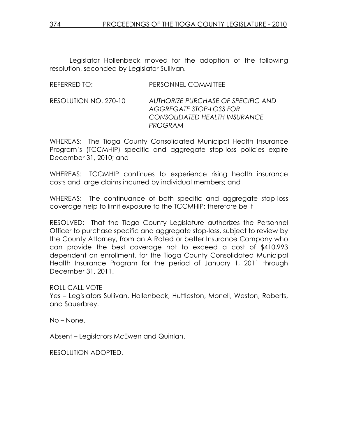| REFERRED TO: | <b>PERSONNEL COMMITTEE</b> |
|--------------|----------------------------|
|              |                            |

RESOLUTION NO. 270-10 AUTHORIZE PURCHASE OF SPECIFIC AND AGGREGATE STOP-LOSS FOR CONSOLIDATED HEALTH INSURANCE PROGRAM

WHEREAS: The Tioga County Consolidated Municipal Health Insurance Program's (TCCMHIP) specific and aggregate stop-loss policies expire December 31, 2010; and

WHEREAS: TCCMHIP continues to experience rising health insurance costs and large claims incurred by individual members; and

WHEREAS: The continuance of both specific and aggregate stop-loss coverage help to limit exposure to the TCCMHIP; therefore be it

RESOLVED: That the Tioga County Legislature authorizes the Personnel Officer to purchase specific and aggregate stop-loss, subject to review by the County Attorney, from an A Rated or better Insurance Company who can provide the best coverage not to exceed a cost of \$410,993 dependent on enrollment, for the Tioga County Consolidated Municipal Health Insurance Program for the period of January 1, 2011 through December 31, 2011.

ROLL CALL VOTE

Yes – Legislators Sullivan, Hollenbeck, Huttleston, Monell, Weston, Roberts, and Sauerbrey.

No – None.

Absent – Legislators McEwen and Quinlan.

RESOLUTION ADOPTED.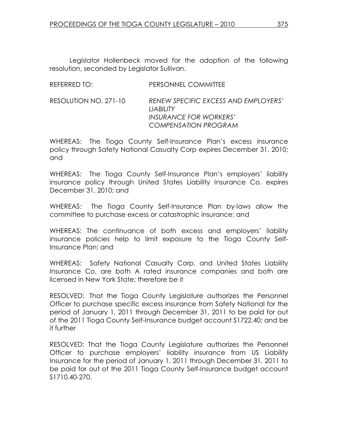| REFERRED TO:          | PERSONNEL COMMITTEE                                                                                      |
|-----------------------|----------------------------------------------------------------------------------------------------------|
| RESOLUTION NO. 271-10 | RENEW SPECIFIC EXCESS AND EMPLOYERS'<br>HABIHTY<br>INSURANCE FOR WORKERS'<br><b>COMPENSATION PROGRAM</b> |
|                       |                                                                                                          |

WHEREAS: The Tioga County Self-Insurance Plan's excess insurance policy through Safety National Casualty Corp expires December 31, 2010; and

WHEREAS: The Tioga County Self-Insurance Plan's employers' liability insurance policy through United States Liability Insurance Co. expires December 31, 2010; and

WHEREAS: The Tioga County Self-Insurance Plan by-laws allow the committee to purchase excess or catastrophic insurance; and

WHEREAS: The continuance of both excess and employers' liability insurance policies help to limit exposure to the Tioga County Self-Insurance Plan; and

WHEREAS: Safety National Casualty Corp. and United States Liability Insurance Co. are both A rated insurance companies and both are licensed in New York State; therefore be it

RESOLVED: That the Tioga County Legislature authorizes the Personnel Officer to purchase specific excess insurance from Safety National for the period of January 1, 2011 through December 31, 2011 to be paid for out of the 2011 Tioga County Self-Insurance budget account S1722.40; and be it further

RESOLVED: That the Tioga County Legislature authorizes the Personnel Officer to purchase employers' liability insurance from US Liability Insurance for the period of January 1, 2011 through December 31, 2011 to be paid for out of the 2011 Tioga County Self-Insurance budget account S1710.40-270.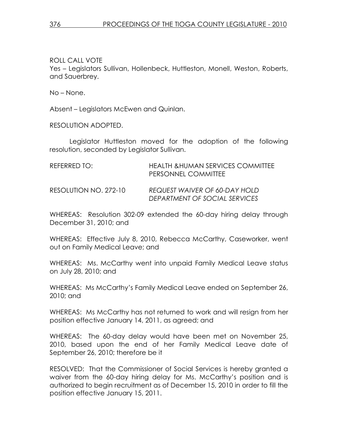ROLL CALL VOTE Yes – Legislators Sullivan, Hollenbeck, Huttleston, Monell, Weston, Roberts, and Sauerbrey.

No – None.

Absent – Legislators McEwen and Quinlan.

RESOLUTION ADOPTED.

 Legislator Huttleston moved for the adoption of the following resolution, seconded by Legislator Sullivan.

| REFERRED TO:          | <b>HEALTH &amp;HUMAN SERVICES COMMITTEE</b><br>PERSONNEL COMMITTEE |
|-----------------------|--------------------------------------------------------------------|
| RESOLUTION NO. 272-10 | REQUEST WAIVER OF 60-DAY HOLD<br>DEPARTMENT OF SOCIAL SERVICES     |

WHEREAS: Resolution 302-09 extended the 60-day hiring delay through December 31, 2010; and

WHEREAS: Effective July 8, 2010, Rebecca McCarthy, Caseworker, went out on Family Medical Leave; and

WHEREAS: Ms. McCarthy went into unpaid Family Medical Leave status on July 28, 2010; and

WHEREAS: Ms McCarthy's Family Medical Leave ended on September 26, 2010; and

WHEREAS: Ms McCarthy has not returned to work and will resign from her position effective January 14, 2011, as agreed; and

WHEREAS: The 60-day delay would have been met on November 25, 2010, based upon the end of her Family Medical Leave date of September 26, 2010; therefore be it

RESOLVED: That the Commissioner of Social Services is hereby granted a waiver from the 60-day hiring delay for Ms. McCarthy's position and is authorized to begin recruitment as of December 15, 2010 in order to fill the position effective January 15, 2011.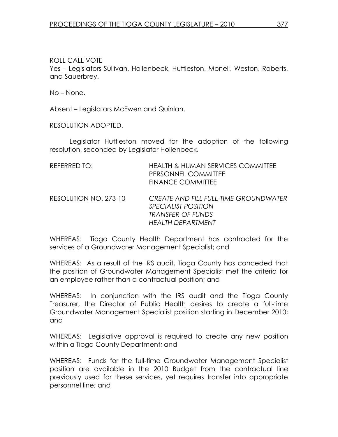ROLL CALL VOTE Yes – Legislators Sullivan, Hollenbeck, Huttleston, Monell, Weston, Roberts, and Sauerbrey.

No – None.

Absent – Legislators McEwen and Quinlan.

RESOLUTION ADOPTED.

 Legislator Huttleston moved for the adoption of the following resolution, seconded by Legislator Hollenbeck.

| REFERRED TO:          | <b>HEALTH &amp; HUMAN SERVICES COMMITTEE</b><br>PERSONNEL COMMITTEE<br><b>FINANCE COMMITTEE</b>                             |
|-----------------------|-----------------------------------------------------------------------------------------------------------------------------|
| RESOLUTION NO. 273-10 | <b>CREATE AND FILL FULL-TIME GROUNDWATER</b><br><i>SPECIALIST POSITION</i><br><b>TRANSFER OF FUNDS</b><br>HEAITH DEPARTMENT |

WHEREAS: Tioga County Health Department has contracted for the services of a Groundwater Management Specialist; and

WHEREAS: As a result of the IRS audit, Tioga County has conceded that the position of Groundwater Management Specialist met the criteria for an employee rather than a contractual position; and

WHEREAS: In conjunction with the IRS audit and the Tioga County Treasurer, the Director of Public Health desires to create a full-time Groundwater Management Specialist position starting in December 2010; and

WHEREAS: Legislative approval is required to create any new position within a Tioga County Department; and

WHEREAS: Funds for the full-time Groundwater Management Specialist position are available in the 2010 Budget from the contractual line previously used for these services, yet requires transfer into appropriate personnel line; and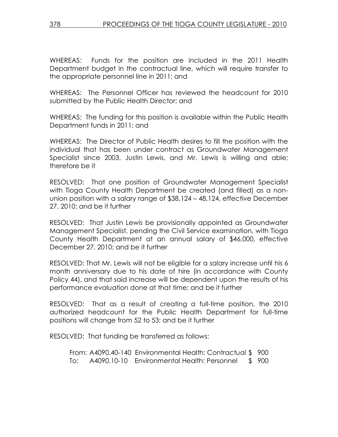WHEREAS: Funds for the position are included in the 2011 Health Department budget in the contractual line, which will require transfer to the appropriate personnel line in 2011; and

WHEREAS: The Personnel Officer has reviewed the headcount for 2010 submitted by the Public Health Director; and

WHEREAS: The funding for this position is available within the Public Health Department funds in 2011; and

WHEREAS: The Director of Public Health desires to fill the position with the individual that has been under contract as Groundwater Management Specialist since 2003, Justin Lewis, and Mr. Lewis is willing and able; therefore be it

RESOLVED: That one position of Groundwater Management Specialist with Tioga County Health Department be created (and filled) as a nonunion position with a salary range of \$38,124 – 48,124, effective December 27, 2010; and be it further

RESOLVED: That Justin Lewis be provisionally appointed as Groundwater Management Specialist, pending the Civil Service examination, with Tioga County Health Department at an annual salary of \$46,000, effective December 27, 2010; and be it further

RESOLVED: That Mr. Lewis will not be eligible for a salary increase until his 6 month anniversary due to his date of hire (in accordance with County Policy 44), and that said increase will be dependent upon the results of his performance evaluation done at that time; and be it further

RESOLVED: That as a result of creating a full-time position, the 2010 authorized headcount for the Public Health Department for full-time positions will change from 52 to 53; and be it further

RESOLVED: That funding be transferred as follows:

 From: A4090.40-140 Environmental Health: Contractual \$ 900 To: A4090.10-10 Environmental Health: Personnel \$ 900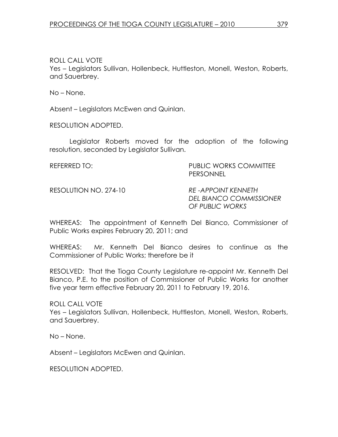ROLL CALL VOTE

Yes – Legislators Sullivan, Hollenbeck, Huttleston, Monell, Weston, Roberts, and Sauerbrey.

No – None.

Absent – Legislators McEwen and Quinlan.

RESOLUTION ADOPTED.

 Legislator Roberts moved for the adoption of the following resolution, seconded by Legislator Sullivan.

| REFERRED TO:          | <b>PUBLIC WORKS COMMITTEE</b><br><b>PERSONNEL</b>                              |
|-----------------------|--------------------------------------------------------------------------------|
| RESOLUTION NO. 274-10 | <b>RE-APPOINT KENNETH</b><br><b>DEL BIANCO COMMISSIONER</b><br>OF PUBLIC WORKS |

WHEREAS: The appointment of Kenneth Del Bianco, Commissioner of Public Works expires February 20, 2011; and

WHEREAS: Mr. Kenneth Del Bianco desires to continue as the Commissioner of Public Works; therefore be it

RESOLVED: That the Tioga County Legislature re-appoint Mr. Kenneth Del Bianco, P.E. to the position of Commissioner of Public Works for another five year term effective February 20, 2011 to February 19, 2016.

ROLL CALL VOTE Yes – Legislators Sullivan, Hollenbeck, Huttleston, Monell, Weston, Roberts, and Sauerbrey.

No – None.

Absent – Legislators McEwen and Quinlan.

RESOLUTION ADOPTED.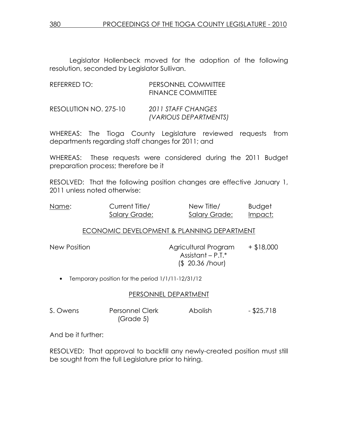| REFERRED TO:          | PERSONNEL COMMITTEE<br><b>FINANCE COMMITTEE</b> |
|-----------------------|-------------------------------------------------|
| RESOLUTION NO. 275-10 | 2011 STAFF CHANGES<br>(VARIOUS DEPARTMENTS)     |

WHEREAS: The Tioga County Legislature reviewed requests from departments regarding staff changes for 2011; and

WHEREAS: These requests were considered during the 2011 Budget preparation process; therefore be it

RESOLVED: That the following position changes are effective January 1, 2011 unless noted otherwise:

| Name: | Current Title/ | New Title/           | <b>Budget</b> |
|-------|----------------|----------------------|---------------|
|       | Salary Grade:  | <b>Salary Grade:</b> | Impact:       |

## ECONOMIC DEVELOPMENT & PLANNING DEPARTMENT

New Position **Agricultural Program** + \$18,000 Assistant – P.T.\* (\$ 20.36 /hour)

• Temporary position for the period 1/1/11-12/31/12

### PERSONNEL DEPARTMENT

| S. Owens | <b>Personnel Clerk</b> | Abolish | $-$ \$25,718 |
|----------|------------------------|---------|--------------|
|          | (Grade 5)              |         |              |

And be it further:

RESOLVED: That approval to backfill any newly-created position must still be sought from the full Legislature prior to hiring.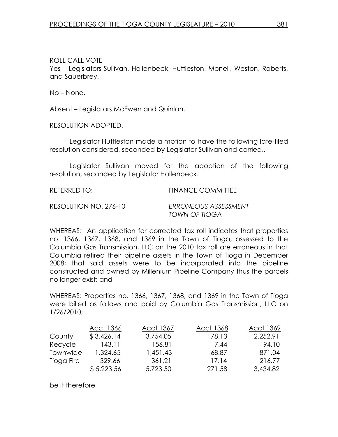ROLL CALL VOTE

Yes – Legislators Sullivan, Hollenbeck, Huttleston, Monell, Weston, Roberts, and Sauerbrey.

No – None.

Absent – Legislators McEwen and Quinlan.

RESOLUTION ADOPTED.

 Legislator Huttleston made a motion to have the following late-filed resolution considered, seconded by Legislator Sullivan and carried..

 Legislator Sullivan moved for the adoption of the following resolution, seconded by Legislator Hollenbeck.

REFERRED TO: FINANCE COMMITTEE RESOLUTION NO. 276-10 ERRONEOUS ASSESSMENT TOWN OF TIOGA

WHEREAS: An application for corrected tax roll indicates that properties no. 1366, 1367, 1368, and 1369 in the Town of Tioga, assessed to the Columbia Gas Transmission, LLC on the 2010 tax roll are erroneous in that Columbia retired their pipeline assets in the Town of Tioga in December 2008; that said assets were to be incorporated into the pipeline constructed and owned by Millenium Pipeline Company thus the parcels no longer exist; and

WHEREAS: Properties no. 1366, 1367, 1368, and 1369 in the Town of Tioga were billed as follows and paid by Columbia Gas Transmission, LLC on 1/26/2010;

|            | Acct 1366  | Acct 1367 | Acct 1368 | Acct 1369 |
|------------|------------|-----------|-----------|-----------|
| County     | \$3,426.14 | 3,754.05  | 178.13    | 2,252.91  |
| Recycle    | 143.11     | 156.81    | 7.44      | 94.10     |
| Townwide   | 1,324.65   | 1,451.43  | 68.87     | 871.04    |
| Tioga Fire | 329.66     | 361.21    | 17.14     | 216.77    |
|            | \$5,223.56 | 5,723.50  | 271.58    | 3,434.82  |

be it therefore